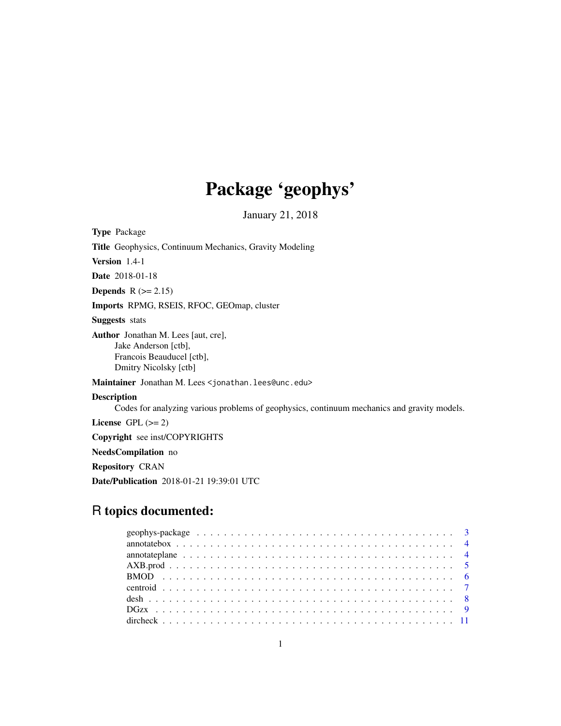# Package 'geophys'

January 21, 2018

Type Package Title Geophysics, Continuum Mechanics, Gravity Modeling Version 1.4-1 Date 2018-01-18 Depends  $R (= 2.15)$ Imports RPMG, RSEIS, RFOC, GEOmap, cluster Suggests stats Author Jonathan M. Lees [aut, cre], Jake Anderson [ctb], Francois Beauducel [ctb], Dmitry Nicolsky [ctb] Maintainer Jonathan M. Lees <jonathan.lees@unc.edu> Description Codes for analyzing various problems of geophysics, continuum mechanics and gravity models. License GPL  $(>= 2)$ Copyright see inst/COPYRIGHTS NeedsCompilation no

Repository CRAN

Date/Publication 2018-01-21 19:39:01 UTC

# R topics documented: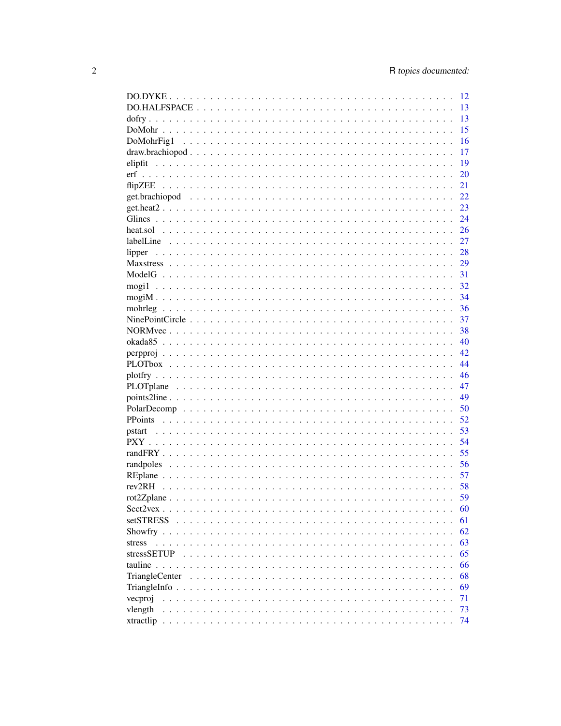|                                                                                                                       | - 12 |
|-----------------------------------------------------------------------------------------------------------------------|------|
|                                                                                                                       | 13   |
|                                                                                                                       | 13   |
|                                                                                                                       | 15   |
|                                                                                                                       | 16   |
|                                                                                                                       | 17   |
|                                                                                                                       | 19   |
|                                                                                                                       | 20   |
|                                                                                                                       | 21   |
|                                                                                                                       | 22   |
|                                                                                                                       | 23   |
|                                                                                                                       | 24   |
|                                                                                                                       | 26   |
|                                                                                                                       | 27   |
| lipper                                                                                                                | 28   |
|                                                                                                                       | 29   |
|                                                                                                                       | 31   |
|                                                                                                                       | 32   |
|                                                                                                                       | 34   |
|                                                                                                                       | 36   |
|                                                                                                                       | 37   |
|                                                                                                                       | 38   |
|                                                                                                                       | 40   |
|                                                                                                                       | 42   |
|                                                                                                                       | 44   |
|                                                                                                                       | 46   |
|                                                                                                                       | 47   |
|                                                                                                                       | 49   |
|                                                                                                                       | 50   |
|                                                                                                                       | 52   |
| pstart                                                                                                                | 53   |
|                                                                                                                       | 54   |
|                                                                                                                       | 55   |
|                                                                                                                       | 56   |
|                                                                                                                       | 57   |
|                                                                                                                       | 58   |
|                                                                                                                       | 59   |
| $Sect2$ vex.                                                                                                          | 60   |
| <b>setSTRESS</b><br>$\mathbf{r}$ , $\mathbf{r}$ , $\mathbf{r}$ , $\mathbf{r}$ , $\mathbf{r}$ , $\mathbf{r}$<br>$\sim$ | 61   |
| Showfry $\ldots$ .                                                                                                    | 62   |
| stress<br>$\ddot{\phantom{a}}$                                                                                        | 63   |
| stressSETUP                                                                                                           | 65   |
| tauline $\ldots$ .<br>$\ddot{\phantom{0}}$                                                                            | 66   |
| TriangleCenter                                                                                                        | 68   |
|                                                                                                                       | 69   |
| vecproj                                                                                                               | 71   |
| vlength                                                                                                               | 73   |
| xtractlip<br>$\sim$                                                                                                   | 74   |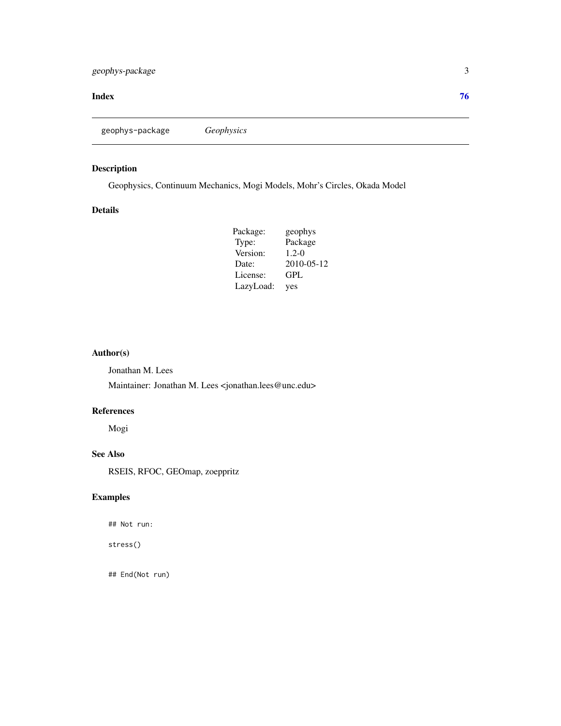#### <span id="page-2-0"></span>**Index** [76](#page-75-0)

geophys-package *Geophysics*

# Description

Geophysics, Continuum Mechanics, Mogi Models, Mohr's Circles, Okada Model

# Details

| Package:  | geophys    |
|-----------|------------|
| Type:     | Package    |
| Version:  | $1.2 - 0$  |
| Date:     | 2010-05-12 |
| License:  | GPL        |
| LazyLoad: | yes        |

# Author(s)

Jonathan M. Lees

Maintainer: Jonathan M. Lees <jonathan.lees@unc.edu>

# References

Mogi

# See Also

RSEIS, RFOC, GEOmap, zoeppritz

# Examples

## Not run:

stress()

## End(Not run)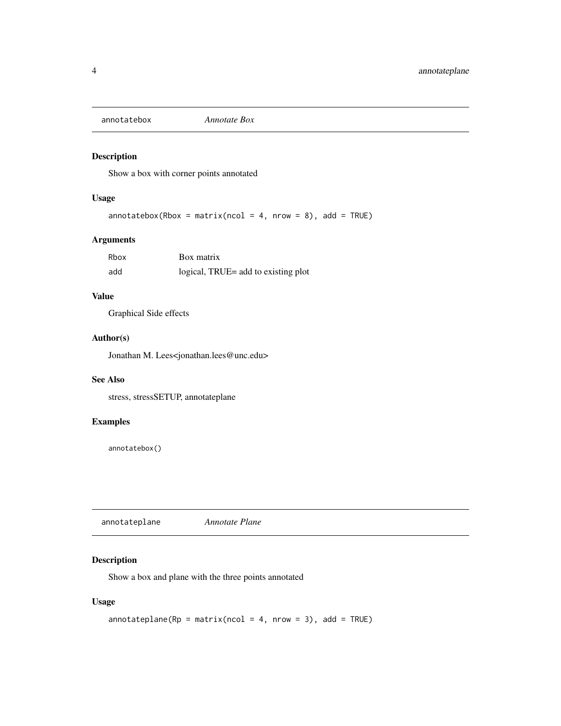<span id="page-3-0"></span>annotatebox *Annotate Box*

# Description

Show a box with corner points annotated

# Usage

```
annotatebox(Rbox = matrix(ncol = 4, nrow = 8), add = TRUE)
```
# Arguments

| Rbox | Box matrix                          |
|------|-------------------------------------|
| add  | logical, TRUE= add to existing plot |

#### Value

Graphical Side effects

# Author(s)

Jonathan M. Lees<jonathan.lees@unc.edu>

#### See Also

stress, stressSETUP, annotateplane

# Examples

annotatebox()

annotateplane *Annotate Plane*

# Description

Show a box and plane with the three points annotated

#### Usage

```
annotateplane(Rp = matrix(ncol = 4, nrow = 3), add = TRUE)
```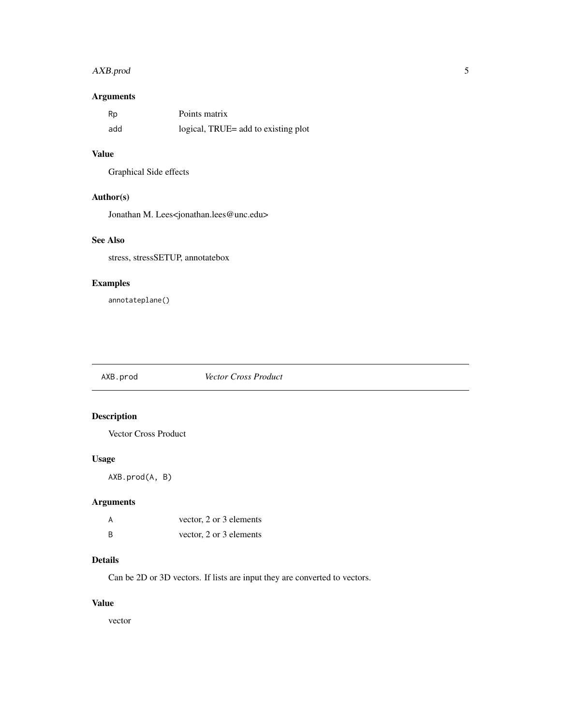# <span id="page-4-0"></span>AXB.prod 5

# Arguments

| Rp  | Points matrix                       |
|-----|-------------------------------------|
| add | logical, TRUE= add to existing plot |

# Value

Graphical Side effects

# Author(s)

Jonathan M. Lees<jonathan.lees@unc.edu>

# See Also

stress, stressSETUP, annotatebox

# Examples

annotateplane()

AXB.prod *Vector Cross Product*

# Description

Vector Cross Product

# Usage

AXB.prod(A, B)

# Arguments

| A | vector, 2 or 3 elements |
|---|-------------------------|
| B | vector, 2 or 3 elements |

# Details

Can be 2D or 3D vectors. If lists are input they are converted to vectors.

# Value

vector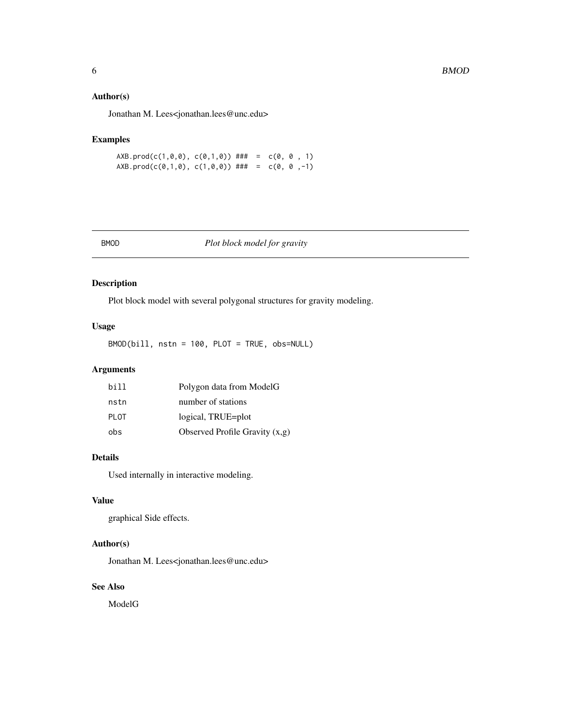#### <span id="page-5-0"></span>Author(s)

Jonathan M. Lees<jonathan.lees@unc.edu>

# Examples

AXB.prod(c(1,0,0), c(0,1,0)) ### =  $c(0, 0, 1)$  $AXB.prod(c(0,1,0), c(1,0,0))$  ### =  $c(0, 0, -1)$ 

| ٩<br>٠ |
|--------|
|--------|

# Plot block model for gravity

# Description

Plot block model with several polygonal structures for gravity modeling.

#### Usage

BMOD(bill, nstn = 100, PLOT = TRUE, obs=NULL)

# Arguments

| bi 11 | Polygon data from ModelG         |
|-------|----------------------------------|
| nstn  | number of stations               |
| PI OT | logical, TRUE=plot               |
| obs   | Observed Profile Gravity $(x,g)$ |

#### Details

Used internally in interactive modeling.

#### Value

graphical Side effects.

# Author(s)

Jonathan M. Lees<jonathan.lees@unc.edu>

# See Also

ModelG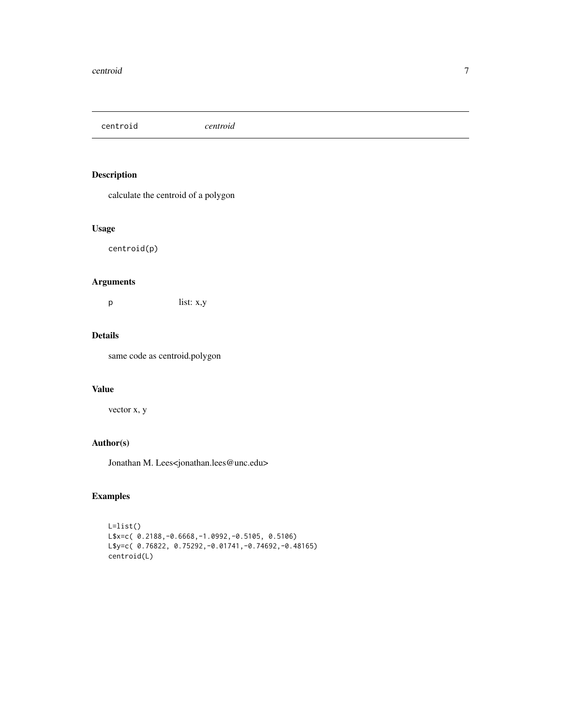<span id="page-6-0"></span>centroid *centroid*

# Description

calculate the centroid of a polygon

#### Usage

centroid(p)

# Arguments

p list: x,y

# Details

same code as centroid.polygon

# Value

vector x, y

# Author(s)

Jonathan M. Lees<jonathan.lees@unc.edu>

```
L=list()
L$x=c( 0.2188,-0.6668,-1.0992,-0.5105, 0.5106)
L$y=c( 0.76822, 0.75292,-0.01741,-0.74692,-0.48165)
centroid(L)
```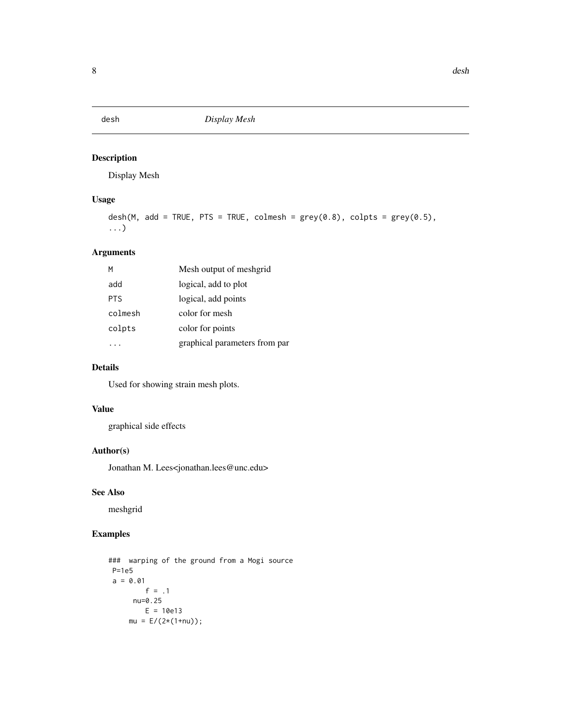<span id="page-7-0"></span>

Display Mesh

# Usage

```
desh(M, add = TRUE, PTS = TRUE, colmesh = grey(0.8), colpts = grey(0.5),
...)
```
# Arguments

| м          | Mesh output of meshgrid       |
|------------|-------------------------------|
| add        | logical, add to plot          |
| <b>PTS</b> | logical, add points           |
| colmesh    | color for mesh                |
| colpts     | color for points              |
|            | graphical parameters from par |

#### Details

Used for showing strain mesh plots.

#### Value

graphical side effects

# Author(s)

Jonathan M. Lees<jonathan.lees@unc.edu>

#### See Also

meshgrid

```
### warping of the ground from a Mogi source
P=1e5
a = 0.01f = .1nu=0.25
        E = 10e13mu = E/(2*(1+nu));
```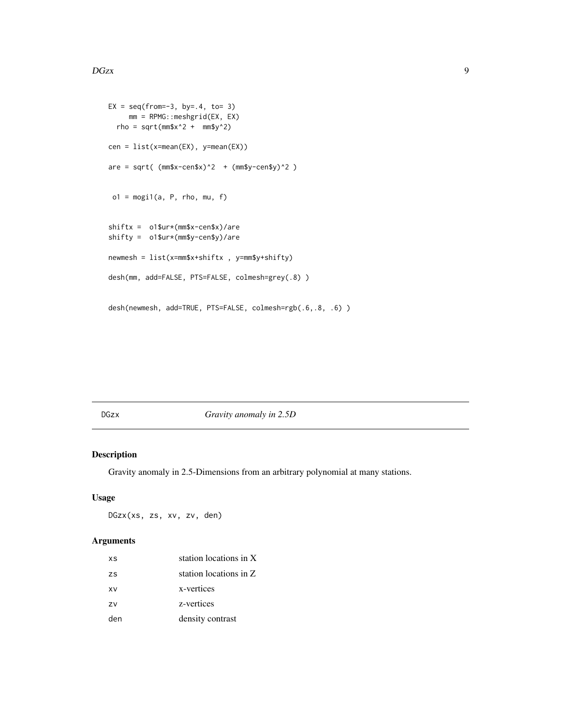```
EX = seq(from=-3, by=-4, to=-3)mm = RPMG::meshgrid(EX, EX)
 rho = sqrt(mm$x^2 + mm$y^2)
cen = list(x=mean(EX), y=mean(EX))
are = sqrt( (mm$x-cen$x)^2 + (mm$y-cen$y)^2 )o1 = \text{mogi1}(a, P, rho, mu, f)shiftx = o1$ur*(mm$x-cen$x)/are
shifty = o1$ur*(mm$y-cen$y)/are
newmesh = list(x=mm$x+shiftx , y=mm$y+shifty)
desh(mm, add=FALSE, PTS=FALSE, colmesh=grey(.8) )
desh(newmesh, add=TRUE, PTS=FALSE, colmesh=rgb(.6,.8, .6) )
```
DGzx *Gravity anomaly in 2.5D*

#### Description

Gravity anomaly in 2.5-Dimensions from an arbitrary polynomial at many stations.

#### Usage

DGzx(xs, zs, xv, zv, den)

#### Arguments

| XS  | station locations in X |
|-----|------------------------|
| ZS  | station locations in Z |
| xv  | x-vertices             |
| ZV  | z-vertices             |
| den | density contrast       |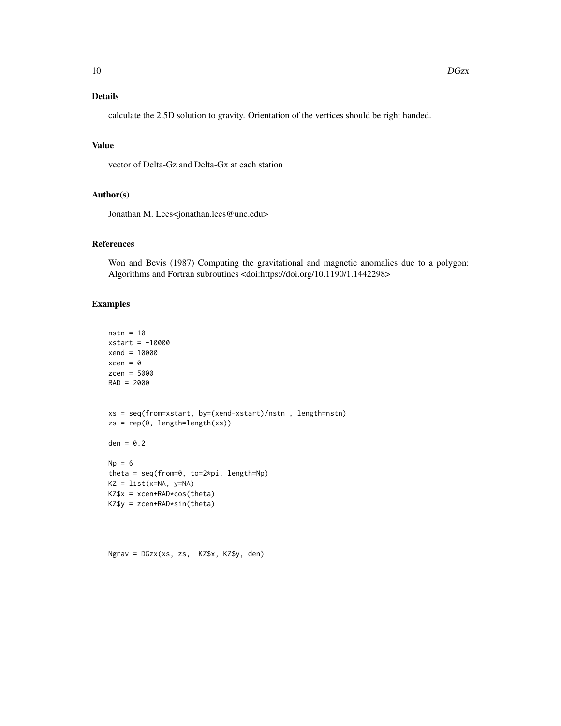# Details

calculate the 2.5D solution to gravity. Orientation of the vertices should be right handed.

#### Value

vector of Delta-Gz and Delta-Gx at each station

#### Author(s)

Jonathan M. Lees<jonathan.lees@unc.edu>

#### References

Won and Bevis (1987) Computing the gravitational and magnetic anomalies due to a polygon: Algorithms and Fortran subroutines <doi:https://doi.org/10.1190/1.1442298>

```
nstn = 10
xstart = -10000
xend = 10000
xcen = <math>0</math>zcen = 5000
RAD = 2000xs = seq(from=xstart, by=(xend-xstart)/nstn , length=nstn)
zs = rep(0, length=length(xs))den = 0.2Np = 6theta = seq(from=0, to=2*pi, length=Np)
KZ = list(x=NA, y=NA)KZ$x = xcen+RAD*cos(theta)
KZ$y = zcen+RAD*sin(theta)
```

```
Ngrav = DGzx(xs, zs, KZ$x, KZ$y, den)
```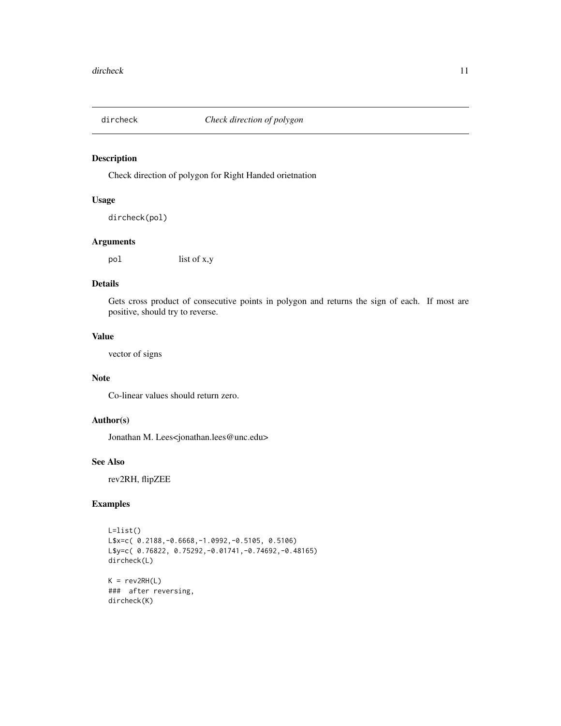<span id="page-10-0"></span>

Check direction of polygon for Right Handed orietnation

#### Usage

```
dircheck(pol)
```
# Arguments

pol list of x,y

#### Details

Gets cross product of consecutive points in polygon and returns the sign of each. If most are positive, should try to reverse.

#### Value

vector of signs

#### Note

Co-linear values should return zero.

#### Author(s)

Jonathan M. Lees<jonathan.lees@unc.edu>

#### See Also

rev2RH, flipZEE

```
L=list()
L$x=c( 0.2188,-0.6668,-1.0992,-0.5105, 0.5106)
L$y=c( 0.76822, 0.75292,-0.01741,-0.74692,-0.48165)
dircheck(L)
K = rev2RH(L)
```

```
### after reversing,
dircheck(K)
```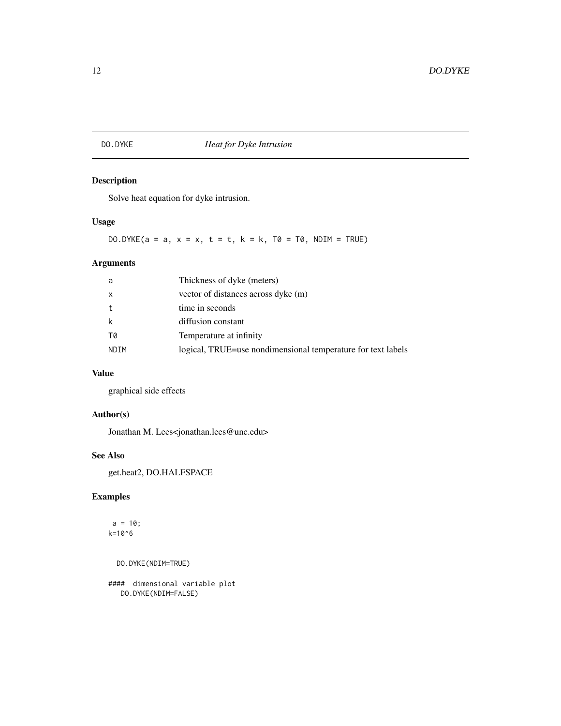# <span id="page-11-0"></span>DO.DYKE *Heat for Dyke Intrusion*

# Description

Solve heat equation for dyke intrusion.

# Usage

DO.DYKE(a = a,  $x = x$ ,  $t = t$ ,  $k = k$ ,  $T\emptyset = T\emptyset$ ,  $NDIM = TRUE$ )

# Arguments

| a    | Thickness of dyke (meters)                                   |
|------|--------------------------------------------------------------|
| X    | vector of distances across dyke (m)                          |
| t    | time in seconds                                              |
| k    | diffusion constant                                           |
| T0   | Temperature at infinity                                      |
| NDIM | logical, TRUE=use nondimensional temperature for text labels |

# Value

graphical side effects

# Author(s)

Jonathan M. Lees<jonathan.lees@unc.edu>

#### See Also

get.heat2, DO.HALFSPACE

# Examples

 $a = 10;$ k=10^6

DO.DYKE(NDIM=TRUE)

#### dimensional variable plot DO.DYKE(NDIM=FALSE)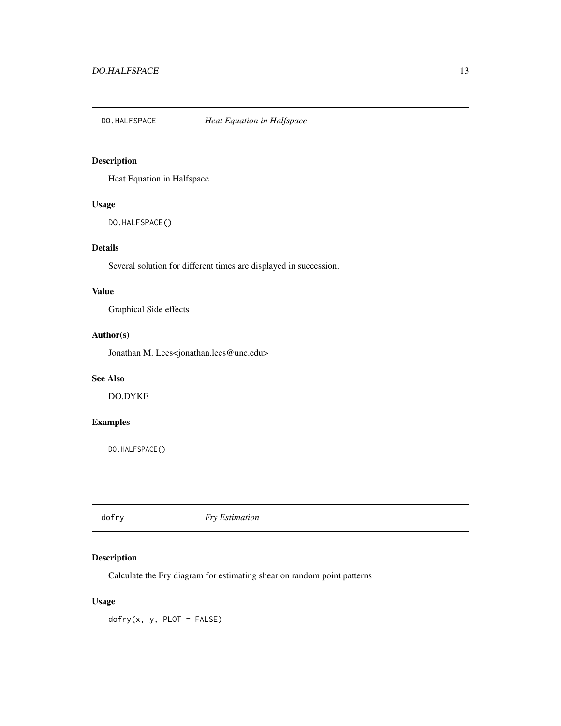<span id="page-12-0"></span>

Heat Equation in Halfspace

#### Usage

DO.HALFSPACE()

# Details

Several solution for different times are displayed in succession.

#### Value

Graphical Side effects

#### Author(s)

Jonathan M. Lees<jonathan.lees@unc.edu>

# See Also

DO.DYKE

# Examples

DO.HALFSPACE()

dofry *Fry Estimation*

# Description

Calculate the Fry diagram for estimating shear on random point patterns

#### Usage

 $dofry(x, y, PLOT = FALSE)$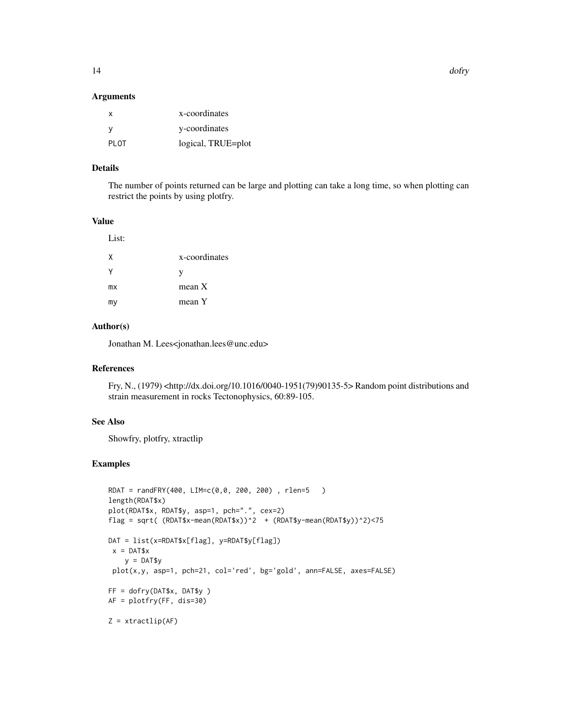#### Arguments

| X     | x-coordinates      |
|-------|--------------------|
| - V   | y-coordinates      |
| PI OT | logical, TRUE=plot |

#### Details

The number of points returned can be large and plotting can take a long time, so when plotting can restrict the points by using plotfry.

#### Value

List:

| χ  | x-coordinates |
|----|---------------|
| γ  | V             |
| mx | mean X        |
| my | mean Y        |

#### Author(s)

Jonathan M. Lees<jonathan.lees@unc.edu>

# References

Fry, N., (1979) <http://dx.doi.org/10.1016/0040-1951(79)90135-5> Random point distributions and strain measurement in rocks Tectonophysics, 60:89-105.

#### See Also

Showfry, plotfry, xtractlip

```
RDAT = randFRY(400, LIM=c(0,0, 200, 200) , rlen=5 )
length(RDAT$x)
plot(RDAT$x, RDAT$y, asp=1, pch=".", cex=2)
flag = sqrt( (RDAT$x-mean(RDAT$x))^2 + (RDAT$y-mean(RDAT$y))^2)<75
DAT = list(x=RDAT$x[flag], y=RDAT$y[flag])
 x = DAT$xy = DAT$y
plot(x,y, asp=1, pch=21, col='red', bg='gold', ann=FALSE, axes=FALSE)
FF = dofry(DAT$x, DAT$y )
AF = plotfry(FF, dis=30)
Z = xtractlip(AF)
```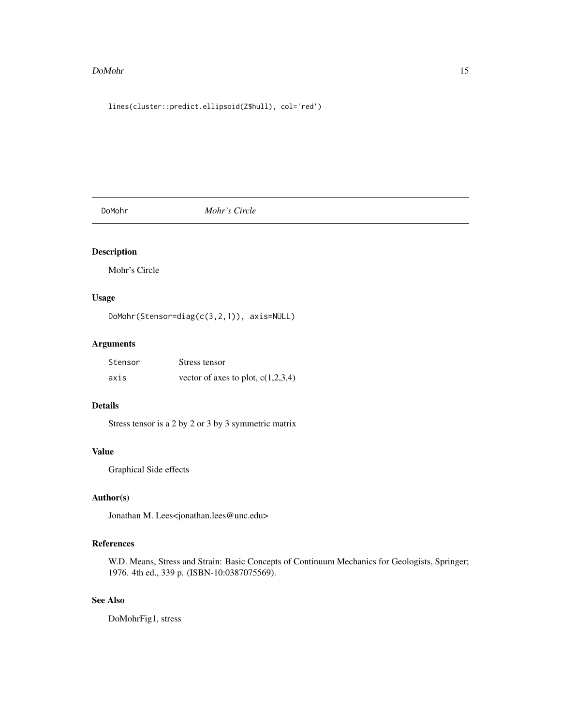#### <span id="page-14-0"></span>DoMohr 15

lines(cluster::predict.ellipsoid(Z\$hull), col='red')

DoMohr *Mohr's Circle*

# Description

Mohr's Circle

# Usage

DoMohr(Stensor=diag(c(3,2,1)), axis=NULL)

# Arguments

| Stensor | Stress tensor                        |
|---------|--------------------------------------|
| axis    | vector of axes to plot, $c(1,2,3,4)$ |

# Details

Stress tensor is a 2 by 2 or 3 by 3 symmetric matrix

# Value

Graphical Side effects

# Author(s)

Jonathan M. Lees<jonathan.lees@unc.edu>

# References

W.D. Means, Stress and Strain: Basic Concepts of Continuum Mechanics for Geologists, Springer; 1976. 4th ed., 339 p. (ISBN-10:0387075569).

# See Also

DoMohrFig1, stress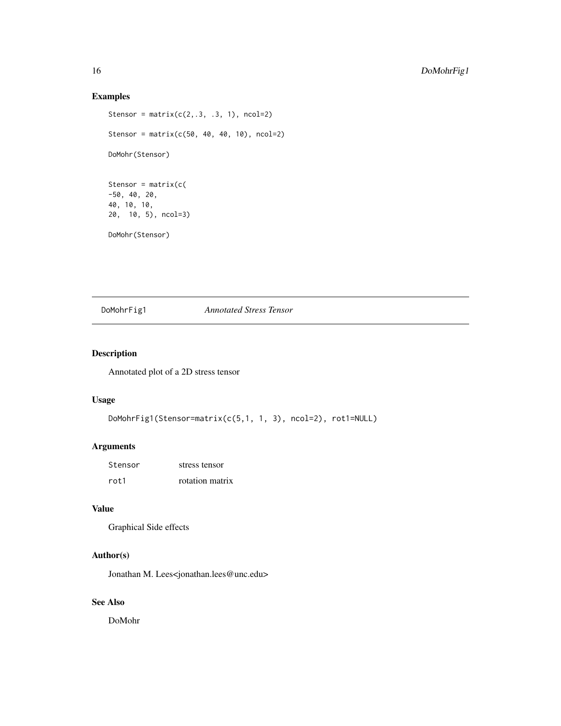#### Examples

```
Stensor = matrix(c(2,.3,.3, 1), ncol=2)Stensor = matrix(c(50, 40, 40, 10), ncol=2)
DoMohr(Stensor)
Stensor = matrix(c(
-50, 40, 20,
40, 10, 10,
20, 10, 5), ncol=3)
DoMohr(Stensor)
```
# DoMohrFig1 *Annotated Stress Tensor*

# Description

Annotated plot of a 2D stress tensor

#### Usage

```
DoMohrFig1(Stensor=matrix(c(5,1, 1, 3), ncol=2), rot1=NULL)
```
# Arguments

| Stensor | stress tensor   |
|---------|-----------------|
| rot1    | rotation matrix |

# Value

```
Graphical Side effects
```
# Author(s)

Jonathan M. Lees<jonathan.lees@unc.edu>

# See Also

DoMohr

<span id="page-15-0"></span>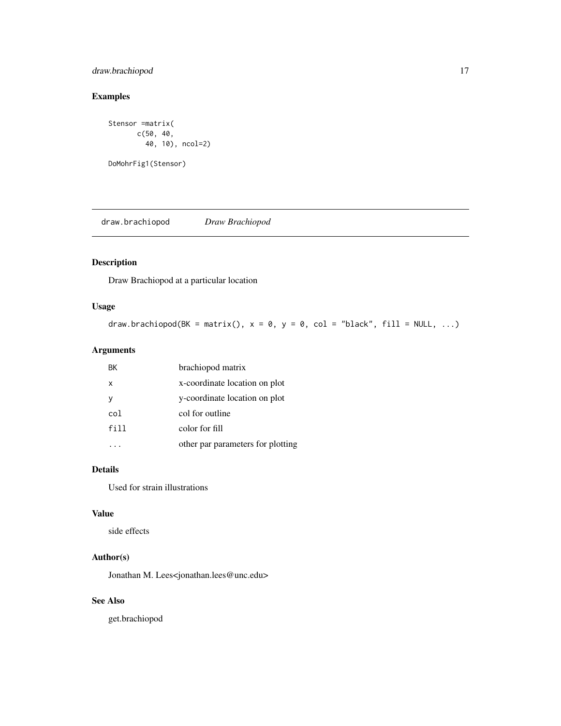# <span id="page-16-0"></span>draw.brachiopod 17

# Examples

```
Stensor =matrix(
      c(50, 40,
         40, 10), ncol=2)
DoMohrFig1(Stensor)
```
draw.brachiopod *Draw Brachiopod*

# Description

Draw Brachiopod at a particular location

#### Usage

```
draw.brachiopod(BK = matrix(), x = 0, y = 0, col = "black", fill = NULL, ...)
```
# Arguments

| BK   | brachiopod matrix                 |
|------|-----------------------------------|
| x    | x-coordinate location on plot     |
| ٧    | y-coordinate location on plot     |
| col  | col for outline                   |
| fill | color for fill                    |
|      | other par parameters for plotting |

# Details

Used for strain illustrations

#### Value

side effects

# Author(s)

Jonathan M. Lees<jonathan.lees@unc.edu>

#### See Also

get.brachiopod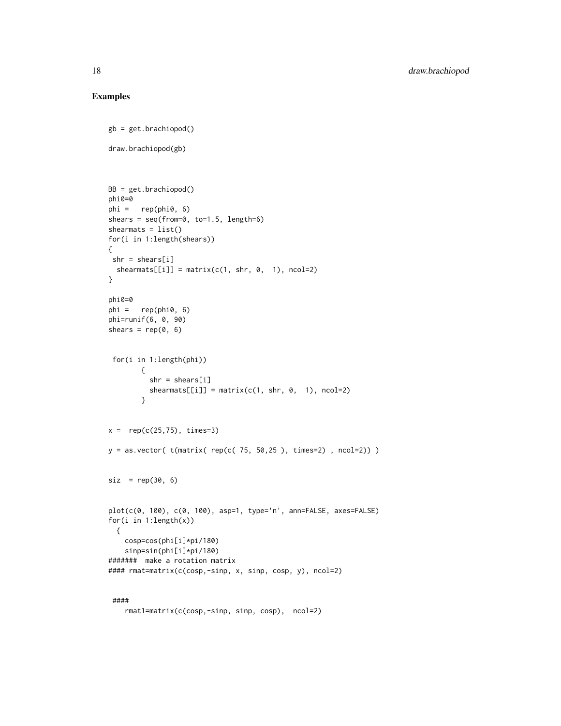```
gb = get.brachiopod()
draw.brachiopod(gb)
BB = get.brachiopod()
phi0=0
phi = rep(phi0, 6)
shears = seq(from=0, to=1.5, length=6)
shearmats = list()for(i in 1:length(shears))
{
shr = shears[i]shear mats[[i]] = matrix(c(1, shr, 0, 1), ncol=2)}
phi0=0
phi = rep(phi0, 6)phi=runif(6, 0, 90)
shears = rep(0, 6)for(i in 1:length(phi))
       {
         shr = shears[i]shearmats[[i]] = matrix(c(1, shr, 0, 1), ncol=2)}
x = rep(c(25, 75), times=3)y = as.vector( t(matrix (rep(c( 75, 50, 25 ) , times=2) , rool=2)) )\text{siz} = \text{rep}(30, 6)plot(c(0, 100), c(0, 100), asp=1, type='n', ann=FALSE, axes=FALSE)
for(i in 1:length(x))
 {
   cosp=cos(phi[i]*pi/180)
    sinp=sin(phi[i]*pi/180)
####### make a rotation matrix
#### rmat=matrix(c(cosp,-sinp, x, sinp, cosp, y), ncol=2)
 ####
```

```
rmat1=matrix(c(cosp,-sinp, sinp, cosp), ncol=2)
```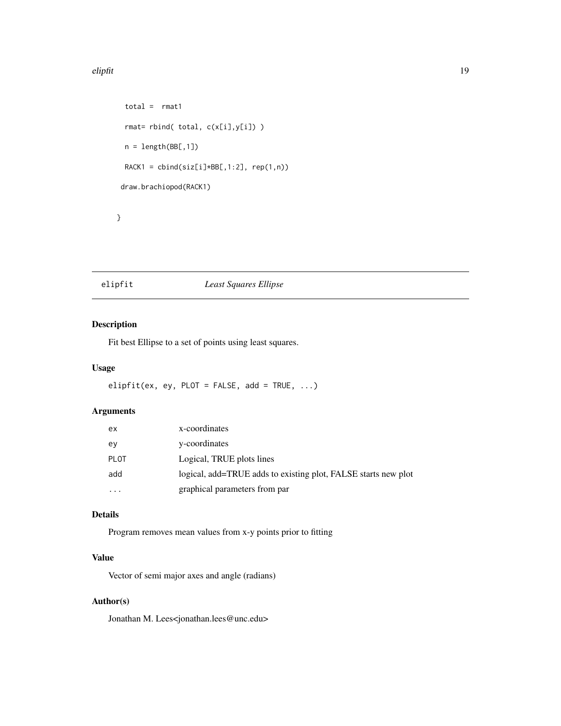#### <span id="page-18-0"></span>elipfit the state of the state of the state of the state of the state of the state of the state of the state of the state of the state of the state of the state of the state of the state of the state of the state of the st

```
total = rmat1
rmat= rbind( total, c(x[i],y[i]) )
n = length(BBE, 1])RACK1 = \text{cbind}(\text{siz}[i]*BB[, 1:2], \text{rep}(1,n))draw.brachiopod(RACK1)
```
}

# elipfit *Least Squares Ellipse*

# Description

Fit best Ellipse to a set of points using least squares.

#### Usage

elipfit(ex, ey, PLOT = FALSE, add = TRUE,  $\ldots$ )

#### Arguments

| ex        | x-coordinates                                                  |
|-----------|----------------------------------------------------------------|
| ev        | y-coordinates                                                  |
| PLOT      | Logical, TRUE plots lines                                      |
| add       | logical, add=TRUE adds to existing plot, FALSE starts new plot |
| $\ddotsc$ | graphical parameters from par                                  |

# Details

Program removes mean values from x-y points prior to fitting

# Value

Vector of semi major axes and angle (radians)

#### Author(s)

Jonathan M. Lees<jonathan.lees@unc.edu>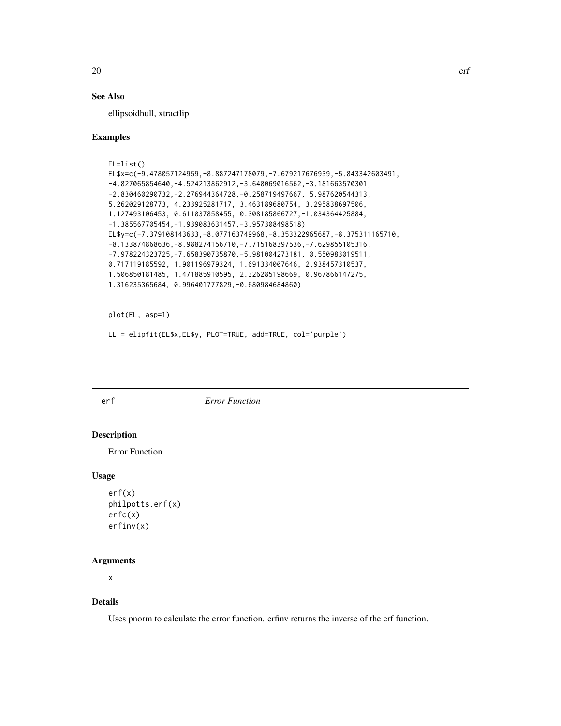# See Also

ellipsoidhull, xtractlip

#### Examples

```
EL=list()
EL$x=c(-9.478057124959,-8.887247178079,-7.679217676939,-5.843342603491,
-4.827065854640,-4.524213862912,-3.640069016562,-3.181663570301,
-2.830460290732,-2.276944364728,-0.258719497667, 5.987620544313,
5.262029128773, 4.233925281717, 3.463189680754, 3.295838697506,
1.127493106453, 0.611037858455, 0.308185866727,-1.034364425884,
-1.385567705454,-1.939083631457,-3.957308498518)
EL$y=c(-7.379108143633,-8.077163749968,-8.353322965687,-8.375311165710,
-8.133874868636,-8.988274156710,-7.715168397536,-7.629855105316,
-7.978224323725,-7.658390735870,-5.981004273181, 0.550983019511,
0.717119185592, 1.901196979324, 1.691334007646, 2.938457310537,
1.506850181485, 1.471885910595, 2.326285198669, 0.967866147275,
1.316235365684, 0.996401777829,-0.680984684860)
```
plot(EL, asp=1)

```
LL = elipfit(EL$x,EL$y, PLOT=TRUE, add=TRUE, col='purple')
```
#### erf *Error Function*

#### Description

Error Function

#### Usage

```
erf(x)
philpotts.erf(x)
erfc(x)
erfinv(x)
```
#### Arguments

x

# Details

Uses pnorm to calculate the error function. erfinv returns the inverse of the erf function.

<span id="page-19-0"></span>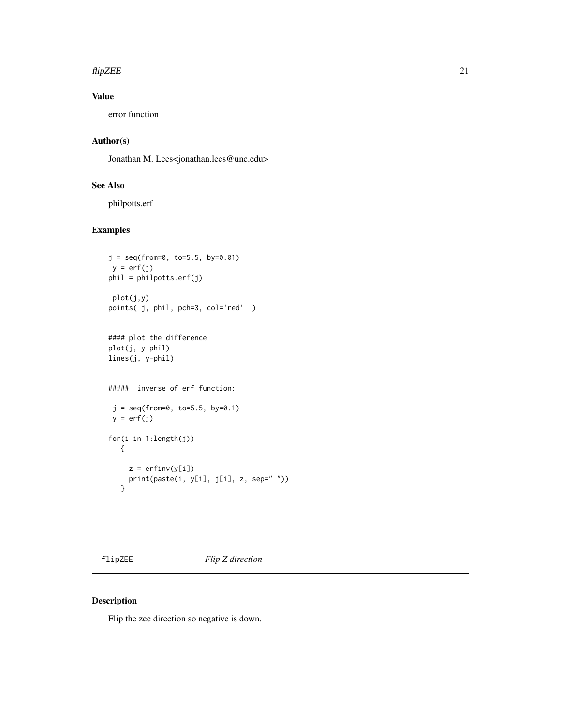#### <span id="page-20-0"></span> $f$ lipZEE 21

# Value

error function

# Author(s)

Jonathan M. Lees<jonathan.lees@unc.edu>

#### See Also

philpotts.erf

# Examples

```
j = seq(from=0, to=5.5, by=0.01)y = erf(j)phil = philpotts.erf(j)
plot(j,y)
points( j, phil, pch=3, col='red' )
#### plot the difference
plot(j, y-phil)
lines(j, y-phil)
##### inverse of erf function:
j = seq(from=0, to=5.5, by=0.1)y = erf(j)for(i in 1:length(j))
  {
    z = erfinv(y[i])print(paste(i, y[i], j[i], z, sep=" "))
  }
```
flipZEE *Flip Z direction*

# Description

Flip the zee direction so negative is down.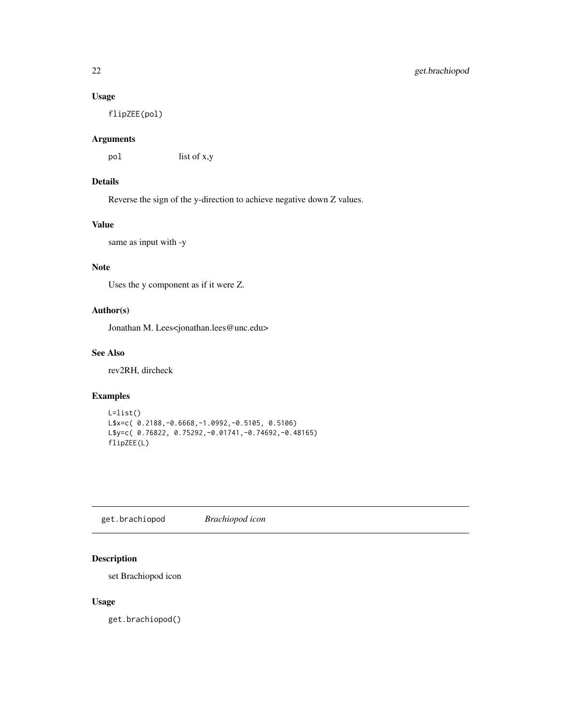#### <span id="page-21-0"></span>Usage

flipZEE(pol)

# Arguments

pol list of x,y

# Details

Reverse the sign of the y-direction to achieve negative down Z values.

#### Value

same as input with -y

# Note

Uses the y component as if it were Z.

# Author(s)

Jonathan M. Lees<jonathan.lees@unc.edu>

#### See Also

rev2RH, dircheck

#### Examples

```
L=list()
L$x=c( 0.2188,-0.6668,-1.0992,-0.5105, 0.5106)
L$y=c( 0.76822, 0.75292,-0.01741,-0.74692,-0.48165)
flipZEE(L)
```
get.brachiopod *Brachiopod icon*

# Description

set Brachiopod icon

#### Usage

get.brachiopod()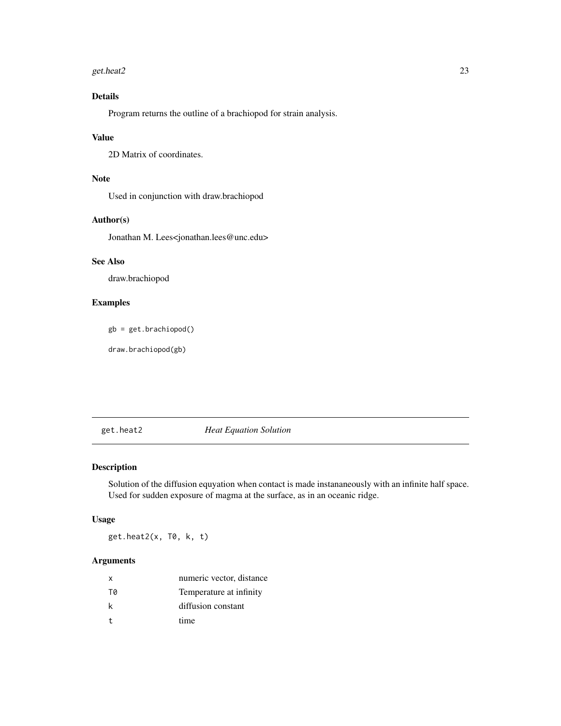#### <span id="page-22-0"></span>get.heat2 23

# Details

Program returns the outline of a brachiopod for strain analysis.

#### Value

2D Matrix of coordinates.

# Note

Used in conjunction with draw.brachiopod

#### Author(s)

Jonathan M. Lees<jonathan.lees@unc.edu>

# See Also

draw.brachiopod

# Examples

gb = get.brachiopod()

draw.brachiopod(gb)

#### get.heat2 *Heat Equation Solution*

# Description

Solution of the diffusion equyation when contact is made instananeously with an infinite half space. Used for sudden exposure of magma at the surface, as in an oceanic ridge.

# Usage

get.heat2(x, T0, k, t)

### Arguments

| X            | numeric vector, distance |
|--------------|--------------------------|
| TØ           | Temperature at infinity  |
| k            | diffusion constant       |
| $\mathbf{t}$ | time                     |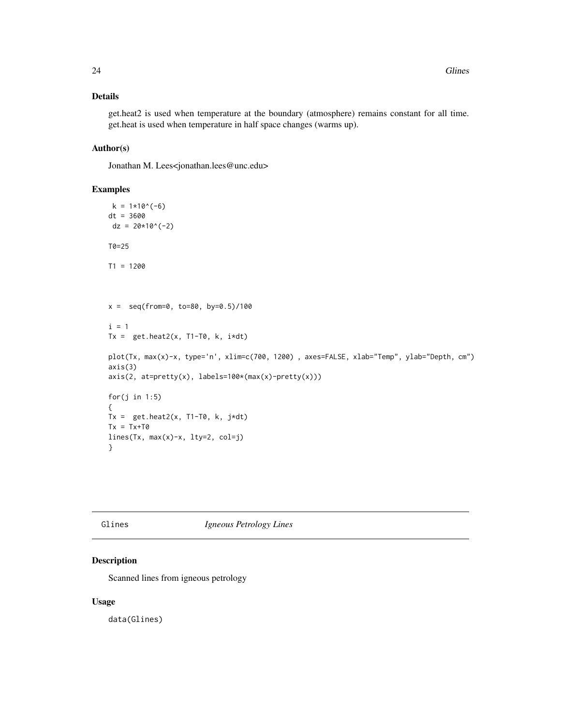#### <span id="page-23-0"></span>Details

get.heat2 is used when temperature at the boundary (atmosphere) remains constant for all time. get.heat is used when temperature in half space changes (warms up).

# Author(s)

Jonathan M. Lees<jonathan.lees@unc.edu>

#### Examples

```
k = 1*10^(-6)dt = 3600
dz = 20*10^(-2)T0=25
T1 = 1200
x = \text{seq}(\text{from=0}, \text{to=80}, \text{by=0.5})/100i = 1Tx = get.heat2(x, T1-T0, k, i*dt)plot(Tx, max(x)-x, type='n', xlim=c(700, 1200) , axes=FALSE, xlab="Temp", ylab="Depth, cm")
axis(3)
axis(2, at=pretty(x), labels=100*(max(x)-pretty(x)))
for(j in 1:5)
{
Tx = get.heat2(x, T1-T0, k, j*dt)Tx = Tx + TØlines(Tx, max(x)-x, lty=2, col=j)
}
```
#### Glines *Igneous Petrology Lines*

#### Description

Scanned lines from igneous petrology

#### Usage

data(Glines)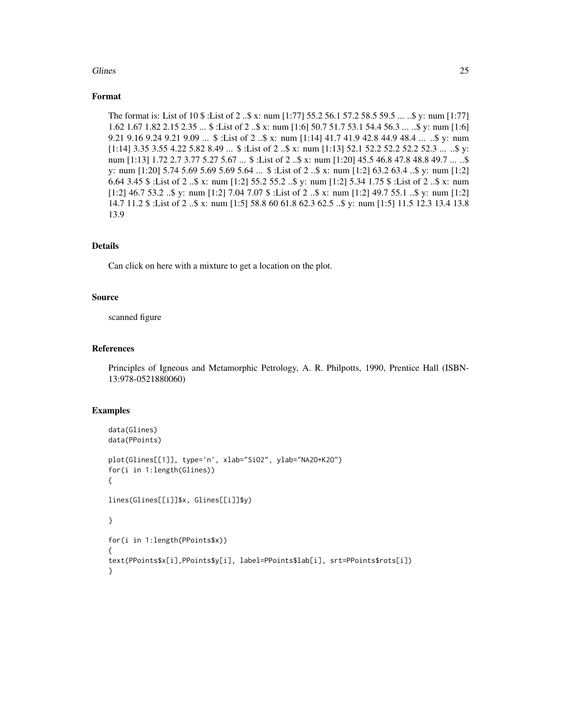#### Glines 25

#### Format

The format is: List of 10 \$ :List of 2 ..\$ x: num [1:77] 55.2 56.1 57.2 58.5 59.5 ... ..\$ y: num [1:77] 1.62 1.67 1.82 2.15 2.35 ... \$ :List of 2 ..\$ x: num [1:6] 50.7 51.7 53.1 54.4 56.3 ... ..\$ y: num [1:6] 9.21 9.16 9.24 9.21 9.09 ... \$ :List of 2 ..\$ x: num [1:14] 41.7 41.9 42.8 44.9 48.4 ... ..\$ y: num [1:14] 3.35 3.55 4.22 5.82 8.49 ... \$ :List of 2 ...\$ x: num [1:13] 52.1 52.2 52.2 52.2 52.3 ... ...\$ y: num [1:13] 1.72 2.7 3.77 5.27 5.67 ... \$ :List of 2 ..\$ x: num [1:20] 45.5 46.8 47.8 48.8 49.7 ... ..\$ y: num [1:20] 5.74 5.69 5.69 5.69 5.64 ... \$ :List of 2 ..\$ x: num [1:2] 63.2 63.4 ..\$ y: num [1:2] 6.64 3.45 \$ :List of 2 ..\$ x: num [1:2] 55.2 55.2 ..\$ y: num [1:2] 5.34 1.75 \$ :List of 2 ..\$ x: num [1:2] 46.7 53.2 ..\$ y: num [1:2] 7.04 7.07 \$ :List of 2 ..\$ x: num [1:2] 49.7 55.1 ..\$ y: num [1:2] 14.7 11.2 \$ :List of 2 ..\$ x: num [1:5] 58.8 60 61.8 62.3 62.5 ..\$ y: num [1:5] 11.5 12.3 13.4 13.8 13.9

#### Details

Can click on here with a mixture to get a location on the plot.

#### Source

scanned figure

#### References

Principles of Igneous and Metamorphic Petrology, A. R. Philpotts, 1990, Prentice Hall (ISBN-13:978-0521880060)

```
data(Glines)
data(PPoints)
plot(Glines[[1]], type='n', xlab="SiO2", ylab="NA2O+K2O")
for(i in 1:length(Glines))
{
lines(Glines[[i]]$x, Glines[[i]]$y)
}
for(i in 1:length(PPoints$x))
{
text(PPoints$x[i],PPoints$y[i], label=PPoints$lab[i], srt=PPoints$rots[i])
}
```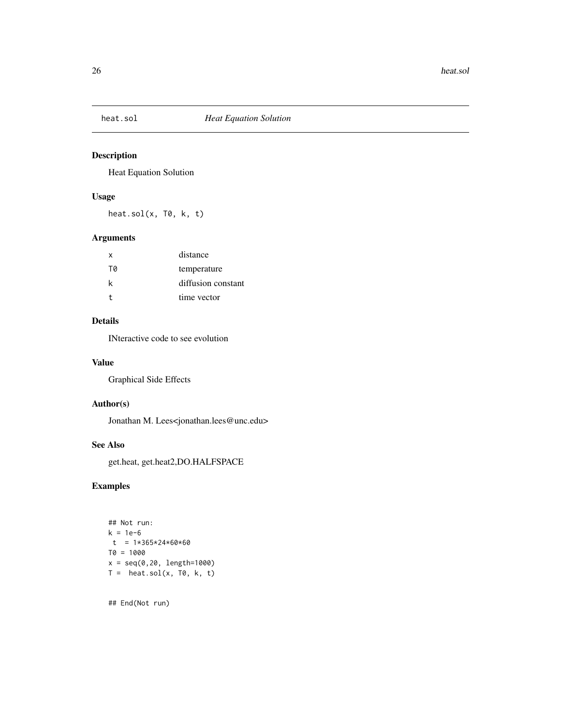<span id="page-25-0"></span>

Heat Equation Solution

# Usage

heat.sol(x, T0, k, t)

# Arguments

| distance           |
|--------------------|
| temperature        |
| diffusion constant |
| time vector        |
|                    |

#### Details

INteractive code to see evolution

#### Value

Graphical Side Effects

# Author(s)

Jonathan M. Lees<jonathan.lees@unc.edu>

# See Also

get.heat, get.heat2,DO.HALFSPACE

#### Examples

```
## Not run:
k = 1e-6t = 1*365*24*60*60T0 = 1000
x = seq(0,20, length=1000)
T = \text{heat.sol}(x, T\emptyset, k, t)
```
## End(Not run)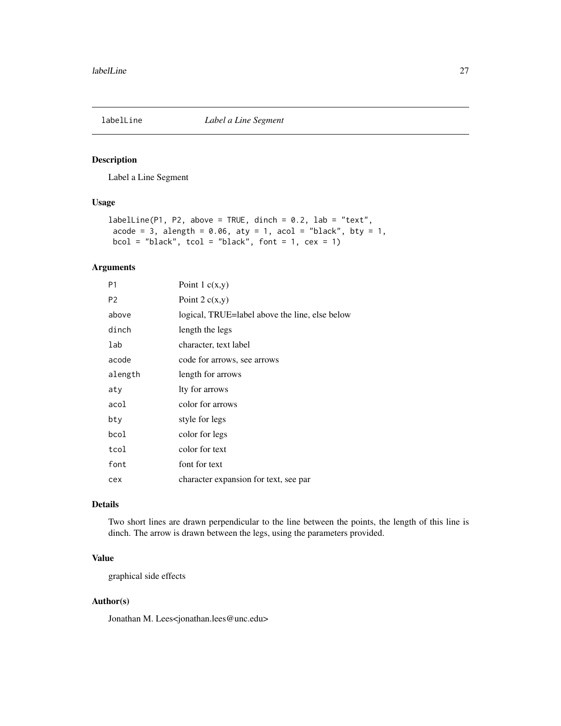<span id="page-26-0"></span>

Label a Line Segment

#### Usage

```
labelLine(PI, P2, above = TRUE, dimch = 0.2, lab = "text",acode = 3, alength = 0.06, aty = 1, acol = "black", by = 1,
 bcol = "black", \text{tcol} = "black", \text{font} = 1, \text{ cex} = 1)
```
# Arguments

| P <sub>1</sub> | Point 1 $c(x,y)$                               |
|----------------|------------------------------------------------|
| P <sub>2</sub> | Point $2c(x,y)$                                |
| above          | logical, TRUE=label above the line, else below |
| dinch          | length the legs                                |
| lab            | character, text label                          |
| acode          | code for arrows, see arrows                    |
| alength        | length for arrows                              |
| aty            | lty for arrows                                 |
| acol           | color for arrows                               |
| bty            | style for legs                                 |
| bcol           | color for legs                                 |
| tcol           | color for text                                 |
| font           | font for text                                  |
| cex            | character expansion for text, see par          |
|                |                                                |

# Details

Two short lines are drawn perpendicular to the line between the points, the length of this line is dinch. The arrow is drawn between the legs, using the parameters provided.

#### Value

graphical side effects

#### Author(s)

Jonathan M. Lees<jonathan.lees@unc.edu>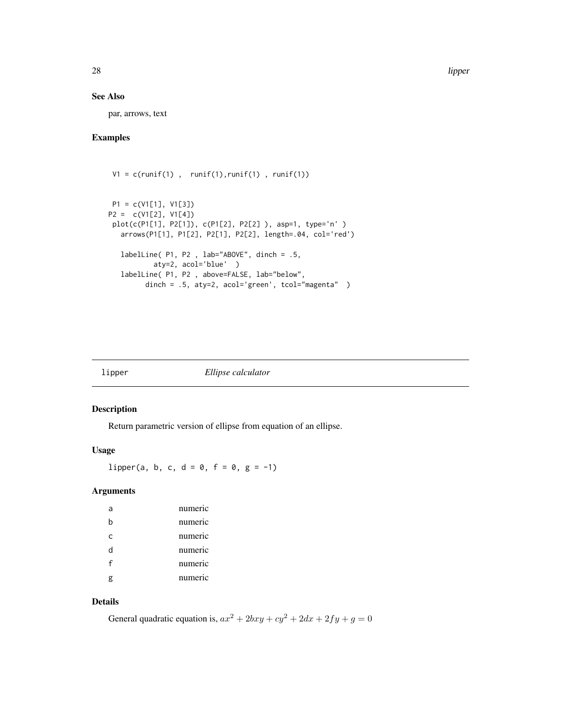<span id="page-27-0"></span>28 **lipper** and the control of the control of the control of the control of the control of the control of the control of the control of the control of the control of the control of the control of the control of the control

#### See Also

par, arrows, text

# Examples

```
V1 = c(runif(1), runif(1), runif(1), runif(1))P1 = c(V1[1], V1[3])
P2 = c(V1[2], V1[4])
plot(c(P1[1], P2[1]), c(P1[2], P2[2] ), asp=1, type='n' )
  arrows(P1[1], P1[2], P2[1], P2[2], length=.04, col='red')
  labelLine( P1, P2 , lab="ABOVE", dinch = .5,
          aty=2, acol='blue' )
  labelLine( P1, P2 , above=FALSE, lab="below",
        dinch = .5, aty=2, acol='green', tcol="magenta")
```
lipper *Ellipse calculator*

#### Description

Return parametric version of ellipse from equation of an ellipse.

#### Usage

lipper(a, b, c, d = 0, f = 0, g = -1)

#### Arguments

| a | numeric |
|---|---------|
| b | numeric |
| C | numeric |
| d | numeric |
| f | numeric |
| g | numeric |

# Details

General quadratic equation is,  $ax^2 + 2bxy + cy^2 + 2dx + 2fy + g = 0$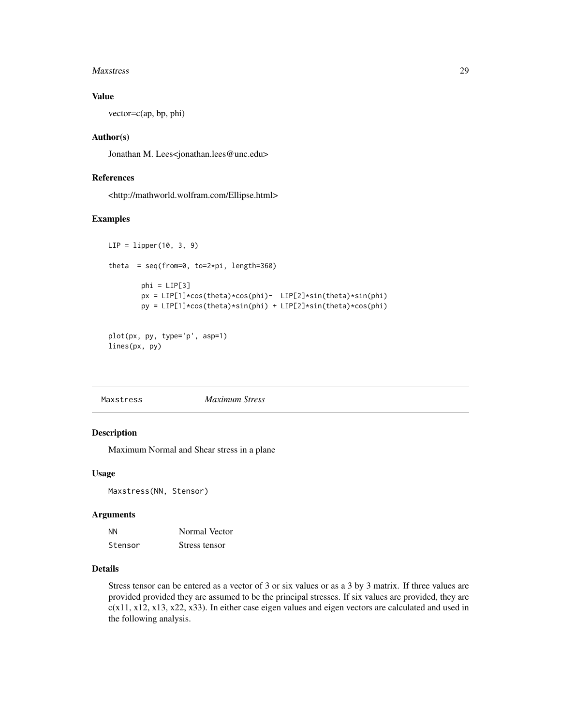#### <span id="page-28-0"></span>Maxstress 29

# Value

vector=c(ap, bp, phi)

#### Author(s)

Jonathan M. Lees<jonathan.lees@unc.edu>

# References

<http://mathworld.wolfram.com/Ellipse.html>

#### Examples

```
LIP = lipper(10, 3, 9)
theta = seq(from=0, to=2*pi, length=360)phi = LIP[3]px = LIP[1]*cos(theta)*cos(phi)- LIP[2]*sin(theta)*sin(phi)
        py = LIP[1]*cos(theta)*sin(phi) + LIP[2]*sin(theta)*cos(phi)
plot(px, py, type='p', asp=1)
```

```
lines(px, py)
```

| Maxstress | <b>Maximum Stress</b> |
|-----------|-----------------------|
|-----------|-----------------------|

#### Description

Maximum Normal and Shear stress in a plane

#### Usage

Maxstress(NN, Stensor)

#### Arguments

| <b>NN</b> | Normal Vector |
|-----------|---------------|
| Stensor   | Stress tensor |

#### Details

Stress tensor can be entered as a vector of 3 or six values or as a 3 by 3 matrix. If three values are provided provided they are assumed to be the principal stresses. If six values are provided, they are c(x11, x12, x13, x22, x33). In either case eigen values and eigen vectors are calculated and used in the following analysis.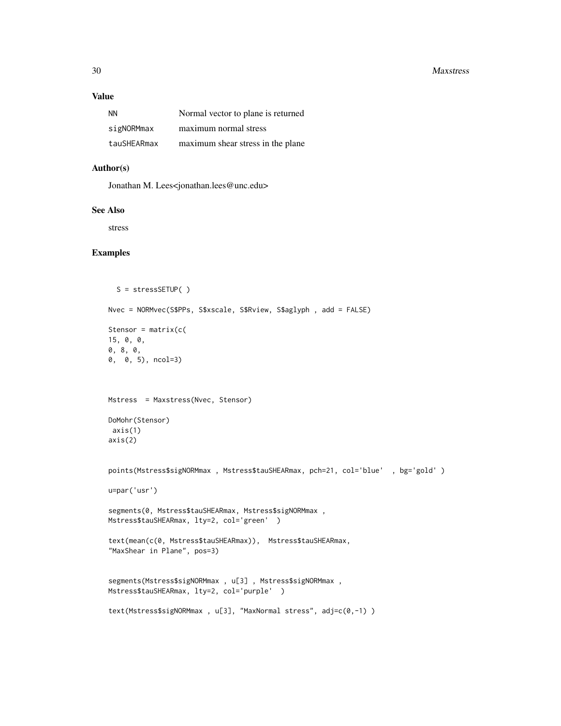#### 30 Maxstress

#### Value

| <b>NN</b>   | Normal vector to plane is returned |
|-------------|------------------------------------|
| sigNORMmax  | maximum normal stress              |
| tauSHEARmax | maximum shear stress in the plane  |

#### Author(s)

Jonathan M. Lees<jonathan.lees@unc.edu>

#### See Also

stress

```
S = stressSETUP( )
Nvec = NORMvec(S$PPs, S$xscale, S$Rview, S$aglyph , add = FALSE)
Stensor = matrix(c()15, 0, 0,
0, 8, 0,
0, 0, 5), ncol=3)
Mstress = Maxstress(Nvec, Stensor)
DoMohr(Stensor)
axis(1)
axis(2)
points(Mstress$sigNORMmax , Mstress$tauSHEARmax, pch=21, col='blue' , bg='gold' )
u=par('usr')
segments(0, Mstress$tauSHEARmax, Mstress$sigNORMmax ,
Mstress$tauSHEARmax, lty=2, col='green' )
text(mean(c(0, Mstress$tauSHEARmax)), Mstress$tauSHEARmax,
"MaxShear in Plane", pos=3)
segments(Mstress$sigNORMmax , u[3] , Mstress$sigNORMmax ,
Mstress$tauSHEARmax, lty=2, col='purple' )
text(Mstress$sigNORMmax, u[3], "MaxNormal stress", adj=c(0,-1))
```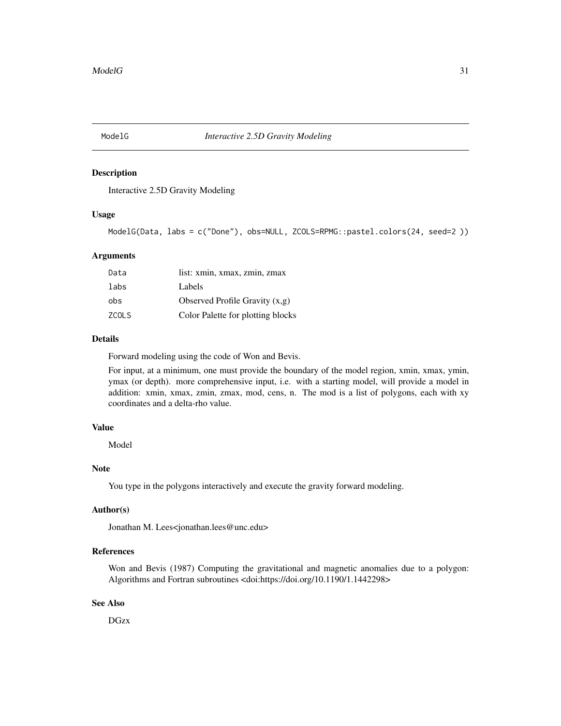<span id="page-30-0"></span>

Interactive 2.5D Gravity Modeling

#### Usage

ModelG(Data, labs = c("Done"), obs=NULL, ZCOLS=RPMG::pastel.colors(24, seed=2 ))

#### Arguments

| list: xmin, xmax, zmin, zmax      |
|-----------------------------------|
| Labels                            |
| Observed Profile Gravity $(x,g)$  |
| Color Palette for plotting blocks |
|                                   |

#### Details

Forward modeling using the code of Won and Bevis.

For input, at a minimum, one must provide the boundary of the model region, xmin, xmax, ymin, ymax (or depth). more comprehensive input, i.e. with a starting model, will provide a model in addition: xmin, xmax, zmin, zmax, mod, cens, n. The mod is a list of polygons, each with xy coordinates and a delta-rho value.

# Value

Model

# Note

You type in the polygons interactively and execute the gravity forward modeling.

#### Author(s)

Jonathan M. Lees<jonathan.lees@unc.edu>

#### References

Won and Bevis (1987) Computing the gravitational and magnetic anomalies due to a polygon: Algorithms and Fortran subroutines <doi:https://doi.org/10.1190/1.1442298>

# See Also

DGzx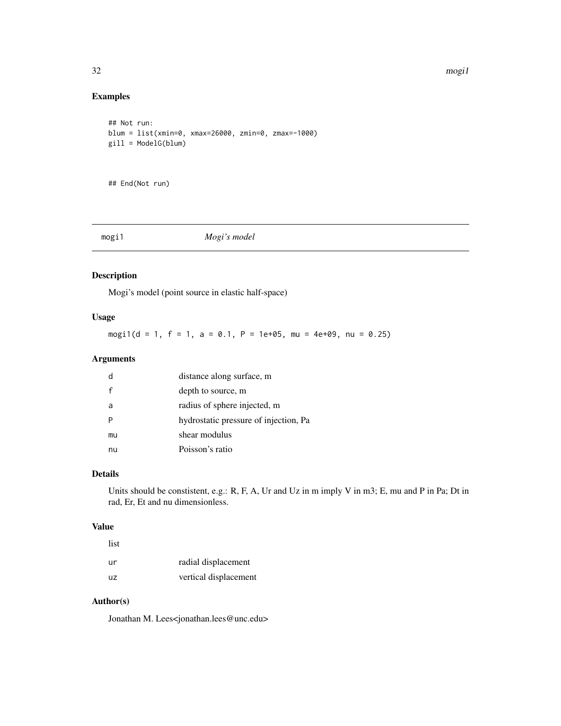#### 32 mogi1

# Examples

```
## Not run:
blum = list(xmin=0, xmax=26000, zmin=0, zmax=-1000)
gill = ModelG(blum)
```
## End(Not run)

# mogi1 *Mogi's model*

# Description

Mogi's model (point source in elastic half-space)

# Usage

mogi1(d = 1, f = 1, a = 0.1, P = 1e+05, mu = 4e+09, nu = 0.25)

#### Arguments

|    | distance along surface, m             |
|----|---------------------------------------|
|    | depth to source, m                    |
| a  | radius of sphere injected, m          |
|    | hydrostatic pressure of injection, Pa |
| mu | shear modulus                         |
| nu | Poisson's ratio                       |

# Details

Units should be constistent, e.g.: R, F, A, Ur and Uz in m imply V in m3; E, mu and P in Pa; Dt in rad, Er, Et and nu dimensionless.

#### Value

| list      |                       |
|-----------|-----------------------|
| ur        | radial displacement   |
| <b>UZ</b> | vertical displacement |

# Author(s)

Jonathan M. Lees<jonathan.lees@unc.edu>

<span id="page-31-0"></span>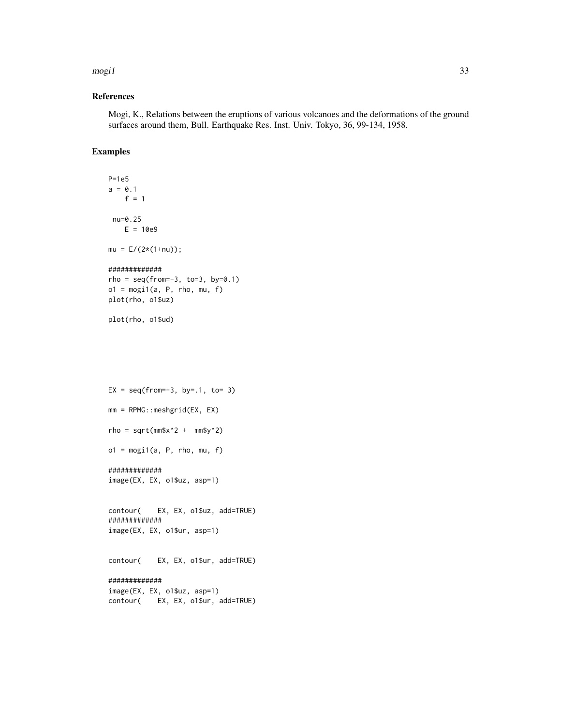#### $mogi1$  33

#### References

Mogi, K., Relations between the eruptions of various volcanoes and the deformations of the ground surfaces around them, Bull. Earthquake Res. Inst. Univ. Tokyo, 36, 99-134, 1958.

#### Examples

```
P=1e5
a = 0.1f = 1nu=0.25
   E = 10e9mu = E/(2*(1+nu));
#############
rho = seq(from=-3, to=3, by=0.1)o1 = \text{mogi1}(a, P, rho, mu, f)plot(rho, o1$uz)
```

```
plot(rho, o1$ud)
```
 $EX = seq(from=-3, by=-1, to= 3)$ mm = RPMG::meshgrid(EX, EX) rho = sqrt $(mm$x^2 + mm$y^2)$  $o1 = \text{mogi1}(a, P, rho, mu, f)$ ############# image(EX, EX, o1\$uz, asp=1)

contour( EX, EX, o1\$uz, add=TRUE) ############# image(EX, EX, o1\$ur, asp=1)

contour( EX, EX, o1\$ur, add=TRUE)

############# image(EX, EX, o1\$uz, asp=1) contour( EX, EX, o1\$ur, add=TRUE)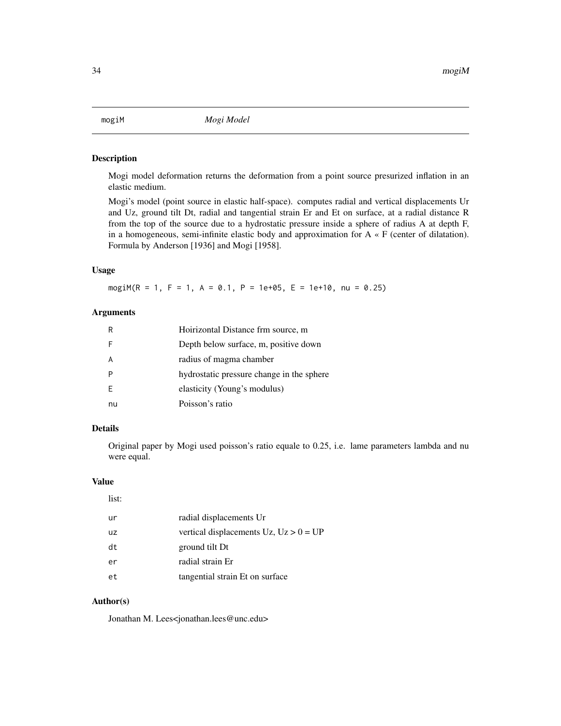<span id="page-33-0"></span>Mogi model deformation returns the deformation from a point source presurized inflation in an elastic medium.

Mogi's model (point source in elastic half-space). computes radial and vertical displacements Ur and Uz, ground tilt Dt, radial and tangential strain Er and Et on surface, at a radial distance R from the top of the source due to a hydrostatic pressure inside a sphere of radius A at depth F, in a homogeneous, semi-infinite elastic body and approximation for  $A \times F$  (center of dilatation). Formula by Anderson [1936] and Mogi [1958].

#### Usage

mogiM(R = 1, F = 1, A = 0.1, P = 1e+05, E = 1e+10, nu = 0.25)

# Arguments

| R  | Hoirizontal Distance frm source, m        |
|----|-------------------------------------------|
| F  | Depth below surface, m, positive down     |
| A  | radius of magma chamber                   |
| P  | hydrostatic pressure change in the sphere |
| F  | elasticity (Young's modulus)              |
| nu | Poisson's ratio                           |

#### Details

Original paper by Mogi used poisson's ratio equale to 0.25, i.e. lame parameters lambda and nu were equal.

#### Value

list:

| ur | radial displacements Ur                     |
|----|---------------------------------------------|
| uz | vertical displacements $Uz$ , $Uz > 0 = UP$ |
| dt | ground tilt Dt                              |
| er | radial strain Er                            |
| et | tangential strain Et on surface             |

# Author(s)

Jonathan M. Lees<jonathan.lees@unc.edu>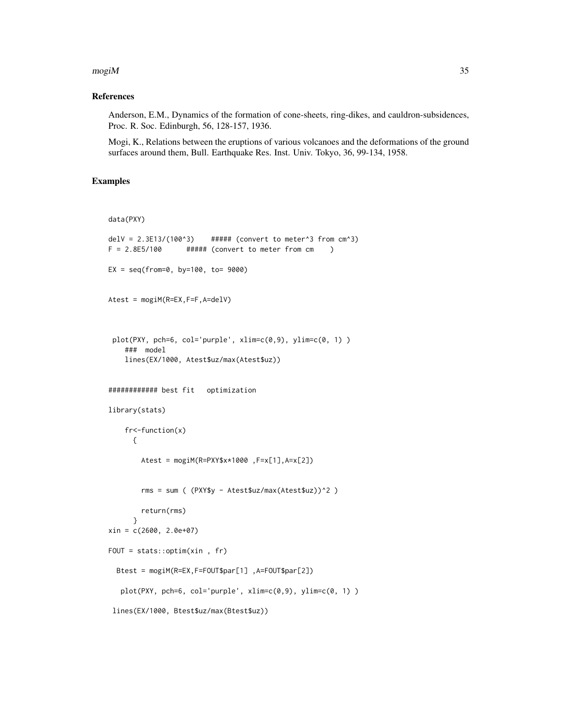#### $mogiM$  35

#### References

Anderson, E.M., Dynamics of the formation of cone-sheets, ring-dikes, and cauldron-subsidences, Proc. R. Soc. Edinburgh, 56, 128-157, 1936.

Mogi, K., Relations between the eruptions of various volcanoes and the deformations of the ground surfaces around them, Bull. Earthquake Res. Inst. Univ. Tokyo, 36, 99-134, 1958.

```
data(PXY)
delV = 2.3E13/(100^3) ##### (convert to meter<sup>3</sup> from cm<sup>3</sup>)
F = 2.8E5/100 ##### (convert to meter from cm )
EX = seq(from=0, by=100, to= 9000)Atest = mogiM(R=EX,F=F,A=delV)
 plot(PXY, pch=6, col='purple', xlim=c(0,9), ylim=c(0, 1) )
    ### model
   lines(EX/1000, Atest$uz/max(Atest$uz))
############ best fit optimization
library(stats)
    fr<-function(x)
      {
        Atest = mogiM(R=PXY$x*1000 ,F=x[1],A=x[2])
        rms = sum ( (PXY$y - Atest$uz/max(Atest$uz))^2 )
        return(rms)
      }
xin = c(2600, 2.0e+07)
FOUT = stats::optim(xin , fr)
  Btest = mogiM(R=EX,F=FOUT$par[1] ,A=FOUT$par[2])
   plot(PXY, pch=6, col='purple', xlim=c(0,9), ylim=c(0, 1) )
 lines(EX/1000, Btest$uz/max(Btest$uz))
```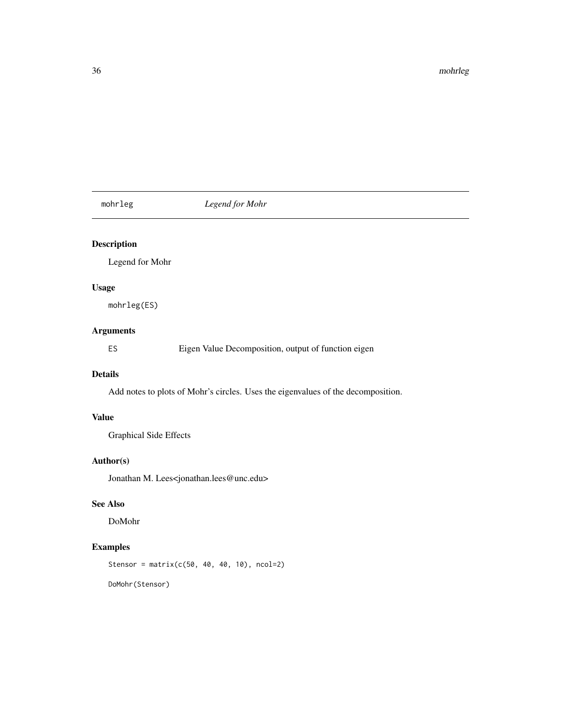<span id="page-35-0"></span>mohrleg *Legend for Mohr*

# Description

Legend for Mohr

# Usage

mohrleg(ES)

# Arguments

ES Eigen Value Decomposition, output of function eigen

# Details

Add notes to plots of Mohr's circles. Uses the eigenvalues of the decomposition.

#### Value

Graphical Side Effects

#### Author(s)

Jonathan M. Lees<jonathan.lees@unc.edu>

#### See Also

DoMohr

# Examples

Stensor = matrix(c(50, 40, 40, 10), ncol=2)

DoMohr(Stensor)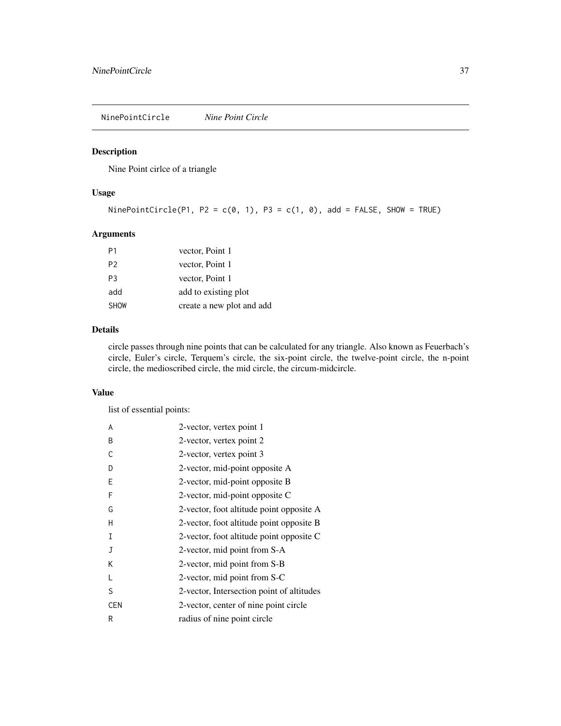NinePointCircle *Nine Point Circle*

# Description

Nine Point cirlce of a triangle

#### Usage

```
NinePointCircle(P1, P2 = c(0, 1), P3 = c(1, 0), add = FALSE, SHOW = TRUE)
```
## Arguments

| P1             | vector, Point 1           |
|----------------|---------------------------|
| P <sub>2</sub> | vector, Point 1           |
| P <sub>3</sub> | vector, Point 1           |
| add            | add to existing plot      |
| <b>SHOW</b>    | create a new plot and add |

#### Details

circle passes through nine points that can be calculated for any triangle. Also known as Feuerbach's circle, Euler's circle, Terquem's circle, the six-point circle, the twelve-point circle, the n-point circle, the medioscribed circle, the mid circle, the circum-midcircle.

#### Value

list of essential points:

| A          | 2-vector, vertex point 1                  |
|------------|-------------------------------------------|
| B          | 2-vector, vertex point 2                  |
| C          | 2-vector, vertex point 3                  |
| D          | 2-vector, mid-point opposite A            |
| Ε          | 2-vector, mid-point opposite B            |
| F          | 2-vector, mid-point opposite C            |
| G          | 2-vector, foot altitude point opposite A  |
| н          | 2-vector, foot altitude point opposite B  |
| Ι          | 2-vector, foot altitude point opposite C  |
| J          | 2-vector, mid point from S-A              |
| Κ          | 2-vector, mid point from S-B              |
|            | 2-vector, mid point from S-C              |
| S          | 2-vector, Intersection point of altitudes |
| <b>CEN</b> | 2-vector, center of nine point circle     |
| R          | radius of nine point circle               |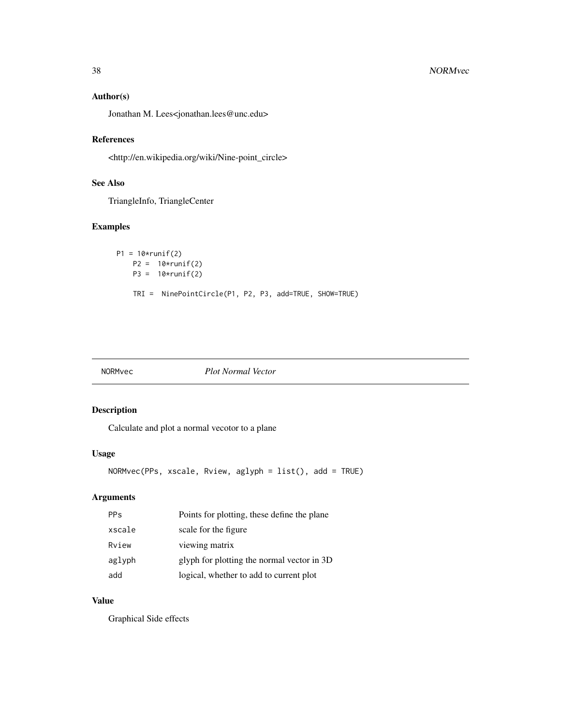## Author(s)

Jonathan M. Lees<jonathan.lees@unc.edu>

#### References

<http://en.wikipedia.org/wiki/Nine-point\_circle>

# See Also

TriangleInfo, TriangleCenter

# Examples

```
P1 = 10*runif(2)P2 = 10*runif(2)P3 = 10*runif(2)TRI = NinePointCircle(P1, P2, P3, add=TRUE, SHOW=TRUE)
```
#### NORMvec *Plot Normal Vector*

## Description

Calculate and plot a normal vecotor to a plane

# Usage

NORMvec(PPs, xscale, Rview, aglyph = list(), add = TRUE)

# Arguments

| <b>PPs</b> | Points for plotting, these define the plane |
|------------|---------------------------------------------|
| xscale     | scale for the figure                        |
| Rview      | viewing matrix                              |
| aglyph     | glyph for plotting the normal vector in 3D  |
| add        | logical, whether to add to current plot     |

# Value

Graphical Side effects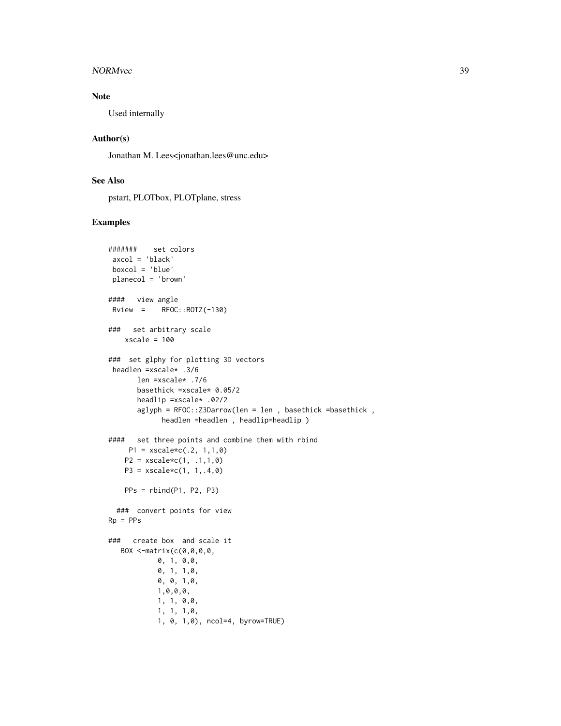#### NORMvec 39

# Note

Used internally

#### Author(s)

Jonathan M. Lees<jonathan.lees@unc.edu>

## See Also

pstart, PLOTbox, PLOTplane, stress

```
####### set colors
axcol = 'black'
boxcol = 'blue'
planecol = 'brown'
#### view angle
Rview = RFOC::ROTZ(-130)### set arbitrary scale
   xscale = 100### set glphy for plotting 3D vectors
headlen =xscale* .3/6
      len =xscale* .7/6
      basethick =xscale* 0.05/2
      headlip =xscale* .02/2
      aglyph = RFOC::Z3Darrow(len = len , basethick =basethick ,
            headlen =headlen , headlip=headlip )
#### set three points and combine them with rbind
    P1 = xscale * c(.2, 1, 1, 0)P2 = xscale * c(1, .1, 1, 0)P3 = xscale * c(1, 1, .4, 0)PPs = rbind(P1, P2, P3)
 ### convert points for view
Rp = PPs### create box and scale it
  BOX <-matrix(c(0,0,0,0,
           0, 1, 0,0,
           0, 1, 1,0,
           0, 0, 1,0,
           1,0,0,0,
           1, 1, 0,0,
           1, 1, 1,0,
           1, 0, 1,0), ncol=4, byrow=TRUE)
```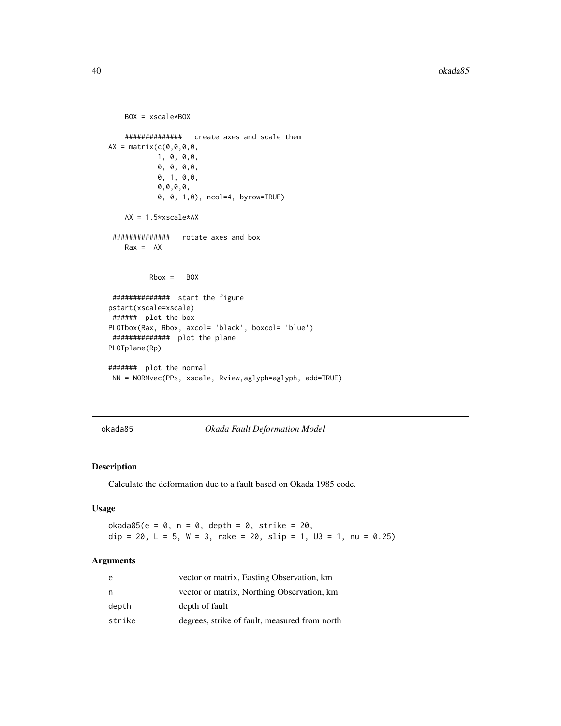```
BOX = xscale*BOX
   ############## create axes and scale them
AX = matrix(c(0,0,0,0,
           1, 0, 0,0,
           0, 0, 0,0,
           0, 1, 0,0,
           0,0,0,0,
           0, 0, 1,0), ncol=4, byrow=TRUE)
   AX = 1.5*xscale*AX
############## rotate axes and box
   Rax = AXRbox = BOX############## start the figure
pstart(xscale=xscale)
###### plot the box
PLOTbox(Rax, Rbox, axcol= 'black', boxcol= 'blue')
############## plot the plane
PLOTplane(Rp)
####### plot the normal
NN = NORMvec(PPs, xscale, Rview,aglyph=aglyph, add=TRUE)
```
okada85 *Okada Fault Deformation Model*

#### Description

Calculate the deformation due to a fault based on Okada 1985 code.

#### Usage

 $okada85(e = 0, n = 0, depth = 0, strike = 20,$ dip = 20, L = 5, W = 3, rake = 20, slip = 1, U3 = 1, nu = 0.25)

# Arguments

| e      | vector or matrix, Easting Observation, km     |
|--------|-----------------------------------------------|
| n      | vector or matrix, Northing Observation, km    |
| depth  | depth of fault                                |
| strike | degrees, strike of fault, measured from north |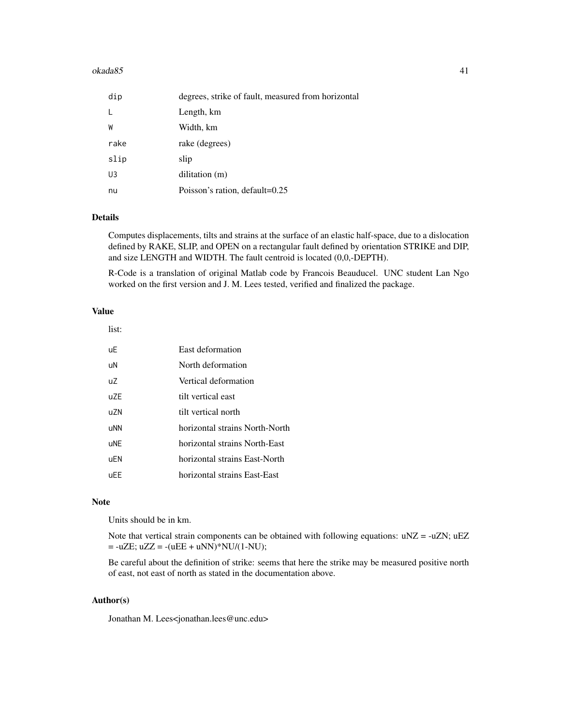#### $okada85$  41

| dip  | degrees, strike of fault, measured from horizontal |
|------|----------------------------------------------------|
|      | Length, km                                         |
| W    | Width, km                                          |
| rake | rake (degrees)                                     |
| slip | slip                                               |
| U3   | dilitation (m)                                     |
| nu   | Poisson's ration, default=0.25                     |

## Details

Computes displacements, tilts and strains at the surface of an elastic half-space, due to a dislocation defined by RAKE, SLIP, and OPEN on a rectangular fault defined by orientation STRIKE and DIP, and size LENGTH and WIDTH. The fault centroid is located (0,0,-DEPTH).

R-Code is a translation of original Matlab code by Francois Beauducel. UNC student Lan Ngo worked on the first version and J. M. Lees tested, verified and finalized the package.

#### Value

list:

| <b>uE</b>      | East deformation               |
|----------------|--------------------------------|
| uN             | North deformation              |
| U <sub>2</sub> | Vertical deformation           |
| UZF            | tilt vertical east             |
| uZN            | tilt vertical north            |
| uNN            | horizontal strains North-North |
| uNE            | horizontal strains North-East  |
| uEN            | horizontal strains East-North  |
| uEE            | horizontal strains East-East   |

#### Note

Units should be in km.

Note that vertical strain components can be obtained with following equations:  $uNZ = -uZN$ ;  $uEZ$  $= -uZE$ ;  $uZZ = -(uEE + uNN)*NU/(1-NU);$ 

Be careful about the definition of strike: seems that here the strike may be measured positive north of east, not east of north as stated in the documentation above.

# Author(s)

Jonathan M. Lees<jonathan.lees@unc.edu>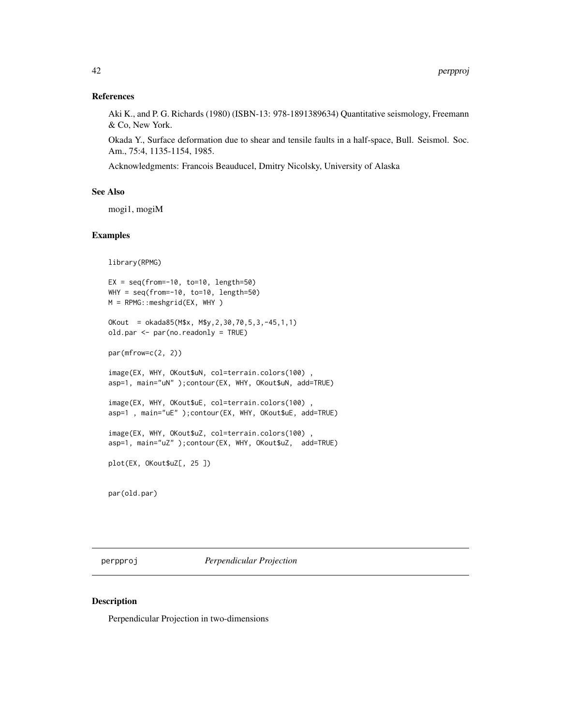#### References

Aki K., and P. G. Richards (1980) (ISBN-13: 978-1891389634) Quantitative seismology, Freemann & Co, New York.

Okada Y., Surface deformation due to shear and tensile faults in a half-space, Bull. Seismol. Soc. Am., 75:4, 1135-1154, 1985.

Acknowledgments: Francois Beauducel, Dmitry Nicolsky, University of Alaska

#### See Also

mogi1, mogiM

#### Examples

```
library(RPMG)
EX = seq(from=-10, to=10, length=50)WHY = seq(from=-10, to=10, length=50)M = RPMG::meshgrid(EX, WHY )
OKout = okada85(M$x, M$y,2,30,70,5,3,-45,1,1)
old.par <- par(no.readonly = TRUE)
par(mfrow=c(2, 2))
image(EX, WHY, OKout$uN, col=terrain.colors(100) ,
asp=1, main="uN" );contour(EX, WHY, OKout$uN, add=TRUE)
image(EX, WHY, OKout$uE, col=terrain.colors(100) ,
asp=1 , main="uE" );contour(EX, WHY, OKout$uE, add=TRUE)
image(EX, WHY, OKout$uZ, col=terrain.colors(100) ,
asp=1, main="uZ" );contour(EX, WHY, OKout$uZ, add=TRUE)
plot(EX, OKout$uZ[, 25 ])
par(old.par)
```
perpproj *Perpendicular Projection*

#### Description

Perpendicular Projection in two-dimensions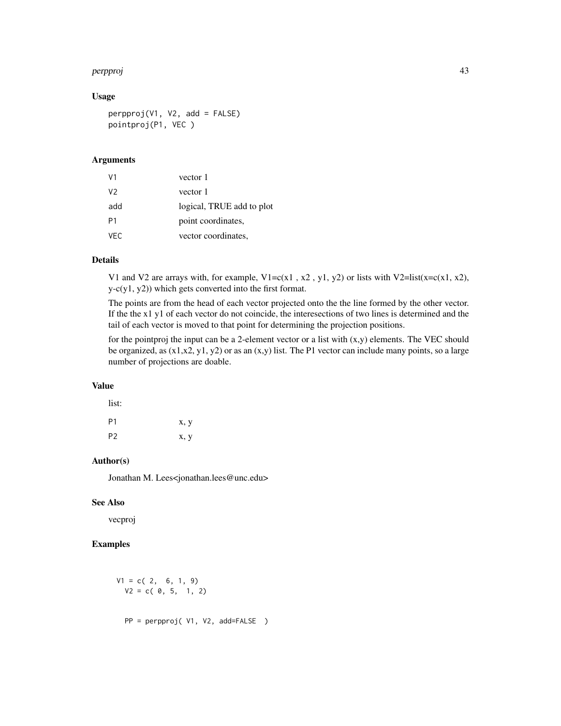#### perpproj 43

## Usage

perpproj(V1, V2, add = FALSE) pointproj(P1, VEC )

#### Arguments

| V <sub>1</sub> | vector 1                  |
|----------------|---------------------------|
| V <sub>2</sub> | vector 1                  |
| add            | logical, TRUE add to plot |
| P <sub>1</sub> | point coordinates,        |
| VFC.           | vector coordinates,       |

# Details

V1 and V2 are arrays with, for example,  $V1 = c(x1, x2, y1, y2)$  or lists with V2=list(x=c(x1, x2), y-c(y1, y2)) which gets converted into the first format.

The points are from the head of each vector projected onto the the line formed by the other vector. If the the x1 y1 of each vector do not coincide, the interesections of two lines is determined and the tail of each vector is moved to that point for determining the projection positions.

for the pointproj the input can be a 2-element vector or a list with  $(x,y)$  elements. The VEC should be organized, as  $(x1,x2, y1, y2)$  or as an  $(x,y)$  list. The P1 vector can include many points, so a large number of projections are doable.

#### Value

 $\ddot{\mathbf{r}}$ 

| 11SU:          |      |
|----------------|------|
| P <sub>1</sub> | x, y |
| P <sub>2</sub> | x, y |

#### Author(s)

Jonathan M. Lees<jonathan.lees@unc.edu>

#### See Also

vecproj

$$
V1 = c(2, 6, 1, 9)
$$
  
\n
$$
V2 = c(0, 5, 1, 2)
$$
  
\n
$$
PP = perpproj(V1, V2, add = FALSE)
$$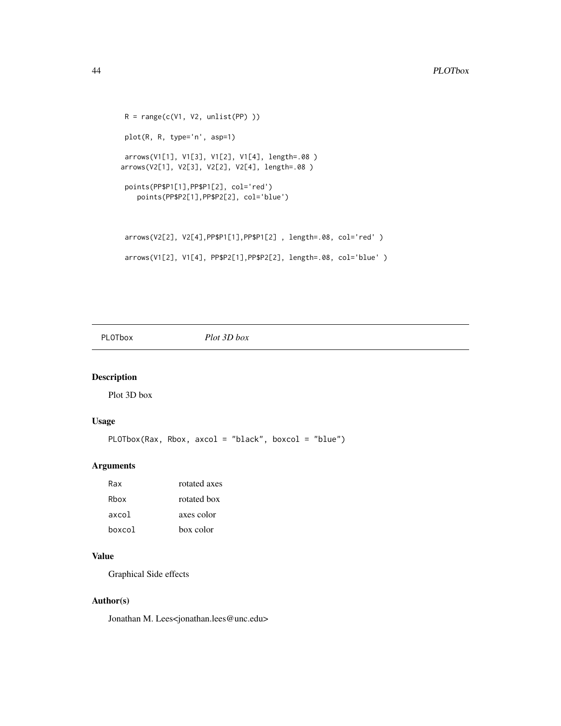```
R = range(c(V1, V2, unlist(PP))plot(R, R, type='n', asp=1)
arrows(V1[1], V1[3], V1[2], V1[4], length=.08 )
arrows(V2[1], V2[3], V2[2], V2[4], length=.08 )
points(PP$P1[1],PP$P1[2], col='red')
   points(PP$P2[1],PP$P2[2], col='blue')
arrows(V2[2], V2[4],PP$P1[1],PP$P1[2] , length=.08, col='red' )
arrows(V1[2], V1[4], PP$P2[1],PP$P2[2], length=.08, col='blue' )
```
PLOTbox *Plot 3D box*

## Description

Plot 3D box

#### Usage

```
PLOTbox(Rax, Rbox, axcol = "black", boxcol = "blue")
```
#### Arguments

| Rax    | rotated axes |
|--------|--------------|
| Rhox   | rotated box  |
| axcol  | axes color   |
| boxcol | box color    |

#### Value

Graphical Side effects

#### Author(s)

Jonathan M. Lees<jonathan.lees@unc.edu>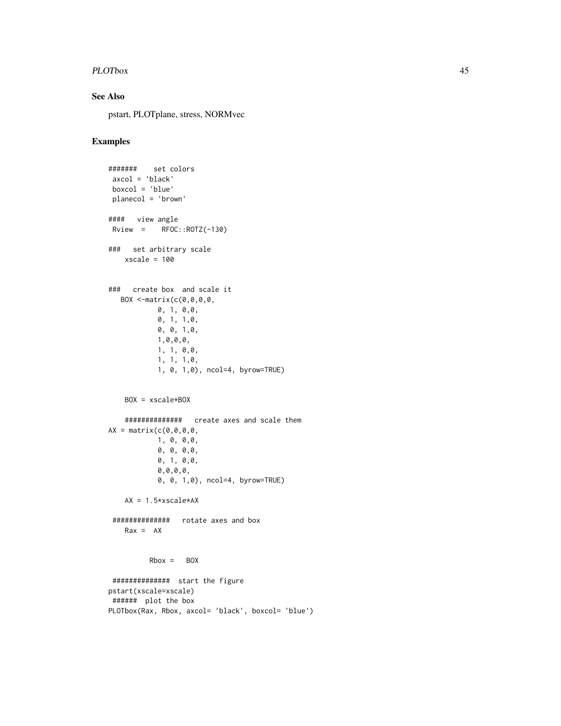#### PLOTbox 45

# See Also

pstart, PLOTplane, stress, NORMvec

```
####### set colors
axcol = 'black'
boxcol = 'blue'
planecol = 'brown'
#### view angle
Rview = RFOC::ROTZ(-130)
### set arbitrary scale
   xscale = 100
### create box and scale it
  BOX <-matrix(c(0,0,0,0,
           0, 1, 0,0,
           0, 1, 1,0,
           0, 0, 1,0,
           1,0,0,0,
           1, 1, 0,0,
           1, 1, 1,0,
           1, 0, 1,0), ncol=4, byrow=TRUE)
   BOX = xscale*BOX
    ############## create axes and scale them
AX = matrix(c(0,0,0,0,
           1, 0, 0,0,
           0, 0, 0,0,
           0, 1, 0,0,
           0,0,0,0,
           0, 0, 1,0), ncol=4, byrow=TRUE)
   AX = 1.5*xscale*AX############## rotate axes and box
   Rax = AXRbox = BOX############## start the figure
pstart(xscale=xscale)
###### plot the box
PLOTbox(Rax, Rbox, axcol= 'black', boxcol= 'blue')
```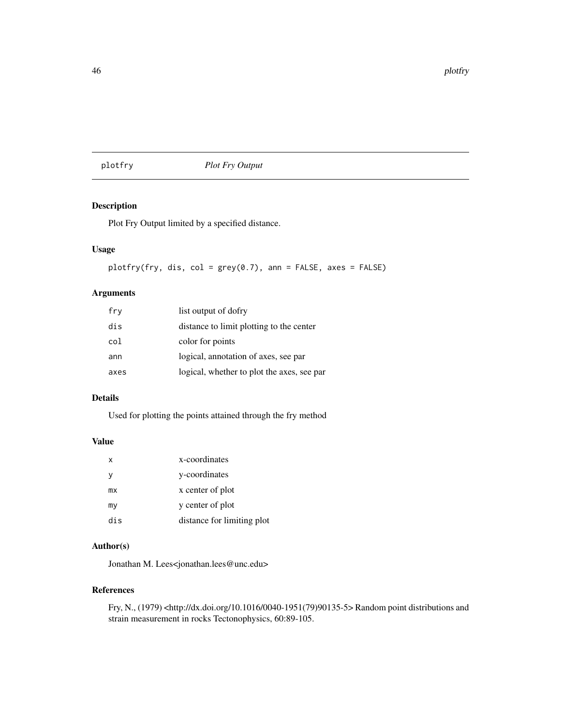## plotfry *Plot Fry Output*

## Description

Plot Fry Output limited by a specified distance.

#### Usage

plotfry(fry, dis, col = grey(0.7), ann = FALSE, axes = FALSE)

#### Arguments

| fry  | list output of dofry                       |
|------|--------------------------------------------|
| dis  | distance to limit plotting to the center   |
| col  | color for points                           |
| ann  | logical, annotation of axes, see par       |
| axes | logical, whether to plot the axes, see par |

#### Details

Used for plotting the points attained through the fry method

#### Value

| x   | x-coordinates              |
|-----|----------------------------|
| v   | y-coordinates              |
| mx  | x center of plot           |
| my  | y center of plot           |
| dis | distance for limiting plot |

#### Author(s)

Jonathan M. Lees<jonathan.lees@unc.edu>

#### References

Fry, N., (1979) <http://dx.doi.org/10.1016/0040-1951(79)90135-5> Random point distributions and strain measurement in rocks Tectonophysics, 60:89-105.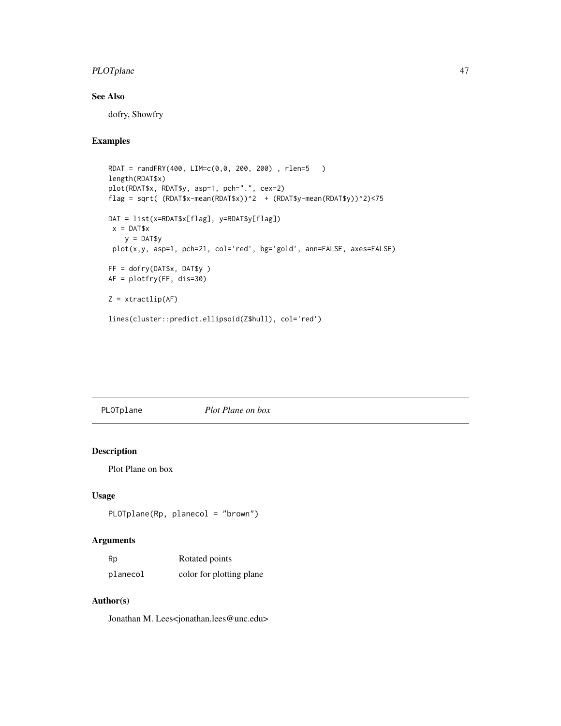## PLOTplane 47

# See Also

dofry, Showfry

# Examples

```
RDAT = randFRY(400, LIM=c(0,0, 200, 200) , rlen=5 )
length(RDAT$x)
plot(RDAT$x, RDAT$y, asp=1, pch=".", cex=2)
flag = sqrt( (RDAT$x-mean(RDAT$x))^2 + (RDAT$y-mean(RDAT$y))^2)<75
DAT = list(x=RDAT$x[flag], y=RDAT$y[flag])
x = DAT$xy = DAT$yplot(x,y, asp=1, pch=21, col='red', bg='gold', ann=FALSE, axes=FALSE)
FF = dofry(DAT$x, DAT$y )
AF = plotfry(FF, dis=30)
Z = xtractlip(AF)
lines(cluster::predict.ellipsoid(Z$hull), col='red')
```
# PLOTplane *Plot Plane on box*

## Description

Plot Plane on box

#### Usage

PLOTplane(Rp, planecol = "brown")

#### Arguments

| Rp       | Rotated points           |
|----------|--------------------------|
| planecol | color for plotting plane |

## Author(s)

Jonathan M. Lees<jonathan.lees@unc.edu>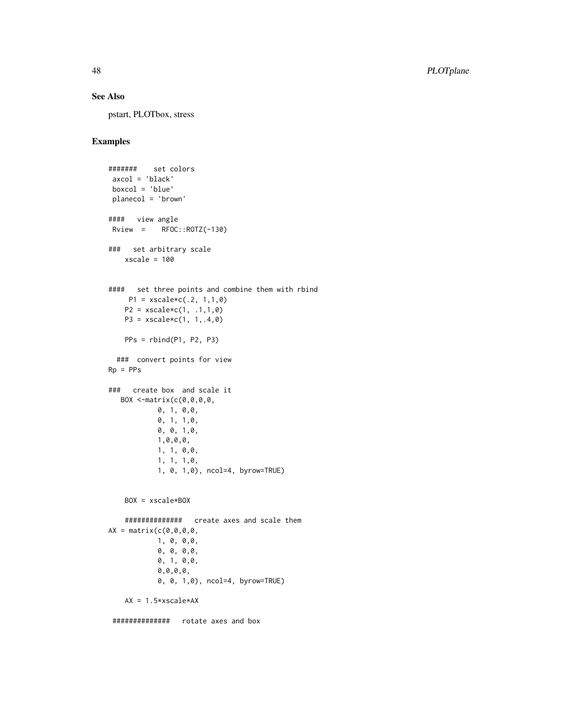## See Also

pstart, PLOTbox, stress

```
####### set colors
 axcol = 'black'
boxcol = 'blue'
planecol = 'brown'
#### view angle
Rview = RFOC::ROTZ(-130)
### set arbitrary scale
   xscale = 100#### set three points and combine them with rbind
    P1 = xscale \times c(.2, 1, 1, 0)P2 = xscale * c(1, .1, 1, 0)P3 = xscale * c(1, 1, .4, 0)PPs = rbind(P1, P2, P3)### convert points for view
Rp = PPs### create box and scale it
  BOX <-matrix(c(0,0,0,0,
            0, 1, 0,0,
            0, 1, 1,0,
           0, 0, 1,0,
           1,0,0,0,
           1, 1, 0,0,
           1, 1, 1,0,
           1, 0, 1,0), ncol=4, byrow=TRUE)
    BOX = xscale*BOX
    ############## create axes and scale them
AX = matrix(c(0,0,0,0,
           1, 0, 0,0,
            0, 0, 0,0,
            0, 1, 0,0,
            0,0,0,0,
            0, 0, 1,0), ncol=4, byrow=TRUE)
   AX = 1.5*xscale*AX############## rotate axes and box
```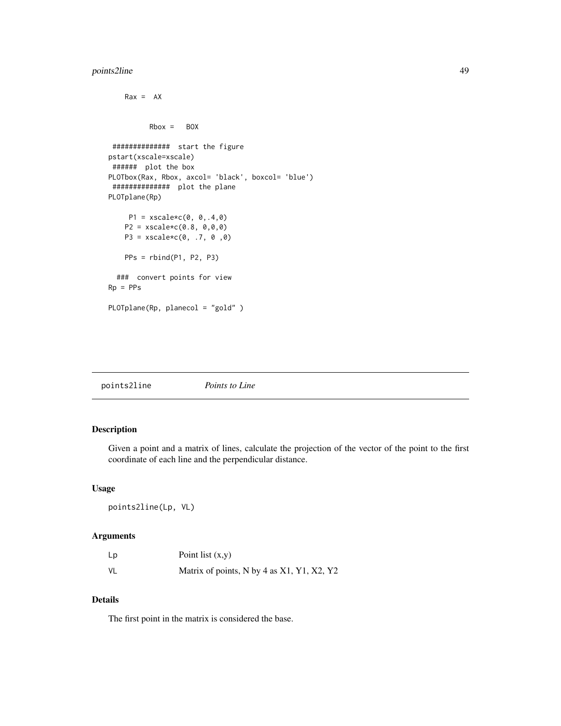## points2line 49

```
Rax = AXRbox = BOX############## start the figure
pstart(xscale=xscale)
 ###### plot the box
PLOTbox(Rax, Rbox, axcol= 'black', boxcol= 'blue')
 ############## plot the plane
PLOTplane(Rp)
     P1 = xscale * c(0, 0, .4, 0)P2 = xscale * c(0.8, 0, 0, 0)P3 = xscale * c(0, .7, 0, 0)PPs = rbind(P1, P2, P3)
  ### convert points for view
Rp = PPsPLOTplane(Rp, planecol = "gold" )
```

| points2line | Points to Line |  |  |
|-------------|----------------|--|--|
|-------------|----------------|--|--|

## Description

Given a point and a matrix of lines, calculate the projection of the vector of the point to the first coordinate of each line and the perpendicular distance.

#### Usage

points2line(Lp, VL)

#### Arguments

| Lp | Point list $(x,y)$                         |
|----|--------------------------------------------|
| VL | Matrix of points, N by 4 as X1, Y1, X2, Y2 |

## Details

The first point in the matrix is considered the base.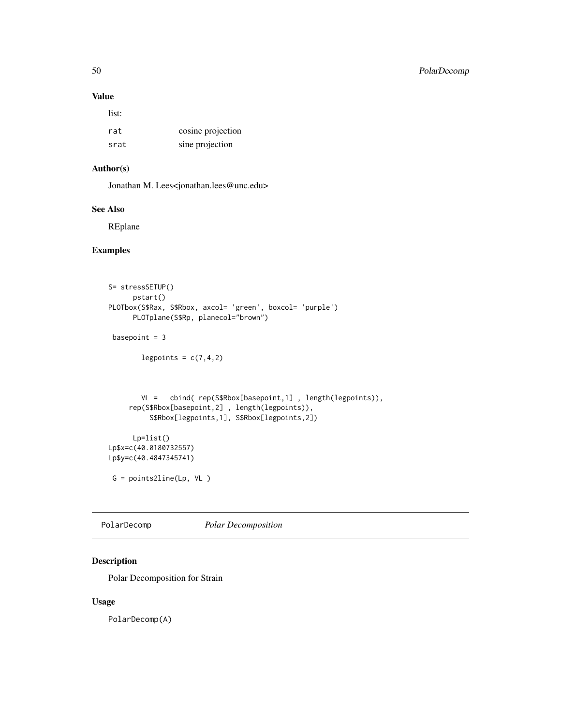## Value

list:

| rat  | cosine projection |
|------|-------------------|
| srat | sine projection   |

# Author(s)

Jonathan M. Lees<jonathan.lees@unc.edu>

## See Also

REplane

# Examples

```
S= stressSETUP()
     pstart()
PLOTbox(S$Rax, S$Rbox, axcol= 'green', boxcol= 'purple')
      PLOTplane(S$Rp, planecol="brown")
 basepoint = 3
       legpoints = c(7, 4, 2)VL = cbind( rep(S$Rbox[basepoint,1] , length(legpoints)),
     rep(S$Rbox[basepoint,2] , length(legpoints)),
         S$Rbox[legpoints,1], S$Rbox[legpoints,2])
     Lp=list()
Lp$x=c(40.0180732557)
Lp$y=c(40.4847345741)
 G = points2line(Lp, VL )
```
PolarDecomp *Polar Decomposition*

## Description

Polar Decomposition for Strain

#### Usage

PolarDecomp(A)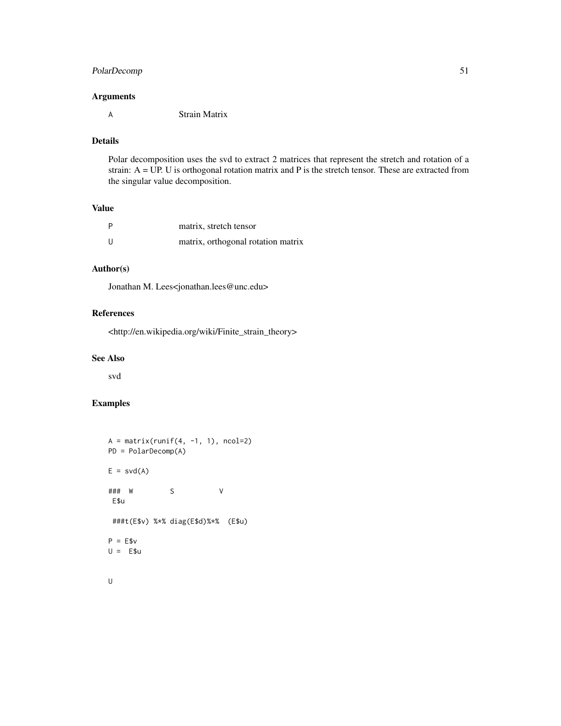## PolarDecomp 51

#### Arguments

A Strain Matrix

# Details

Polar decomposition uses the svd to extract 2 matrices that represent the stretch and rotation of a strain: A = UP. U is orthogonal rotation matrix and P is the stretch tensor. These are extracted from the singular value decomposition.

#### Value

| P | matrix, stretch tensor             |
|---|------------------------------------|
| U | matrix, orthogonal rotation matrix |

## Author(s)

Jonathan M. Lees<jonathan.lees@unc.edu>

# References

<http://en.wikipedia.org/wiki/Finite\_strain\_theory>

#### See Also

svd

```
A = matrix(runit(4, -1, 1), ncol=2)PD = PolarDecomp(A)
E = svd(A)### W S V
E$u
 ###t(E$v) %*% diag(E$d)%*% (E$u)
P = E$v
U = E$u
```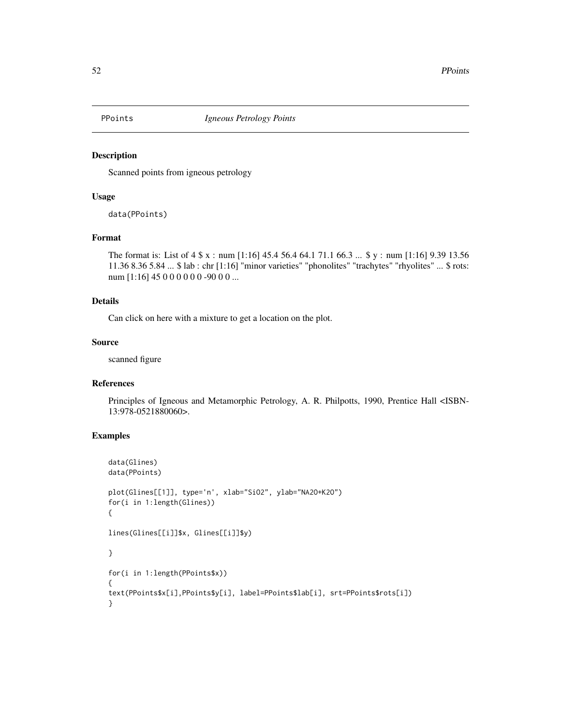Scanned points from igneous petrology

## Usage

data(PPoints)

## Format

```
The format is: List of 4 $ x : num [1:16] 45.4 56.4 64.1 71.1 66.3 ... $ y : num [1:16] 9.39 13.56
11.36 8.36 5.84 ... $ lab : chr [1:16] "minor varieties" "phonolites" "trachytes" "rhyolites" ... $ rots:
num [1:16] 45 0 0 0 0 0 0 -90 0 0 ...
```
#### Details

Can click on here with a mixture to get a location on the plot.

#### Source

scanned figure

## References

Principles of Igneous and Metamorphic Petrology, A. R. Philpotts, 1990, Prentice Hall <ISBN-13:978-0521880060>.

```
data(Glines)
data(PPoints)
plot(Glines[[1]], type='n', xlab="SiO2", ylab="NA2O+K2O")
for(i in 1:length(Glines))
{
lines(Glines[[i]]$x, Glines[[i]]$y)
}
for(i in 1:length(PPoints$x))
{
text(PPoints$x[i],PPoints$y[i], label=PPoints$lab[i], srt=PPoints$rots[i])
}
```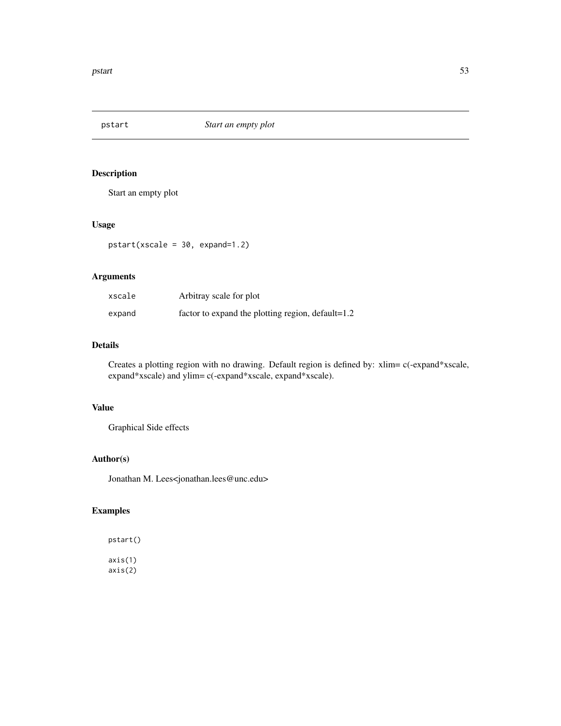Start an empty plot

#### Usage

pstart(xscale = 30, expand=1.2)

## Arguments

| xscale | Arbitray scale for plot                           |
|--------|---------------------------------------------------|
| expand | factor to expand the plotting region, default=1.2 |

# Details

Creates a plotting region with no drawing. Default region is defined by: xlim= c(-expand\*xscale, expand\*xscale) and ylim= c(-expand\*xscale, expand\*xscale).

#### Value

Graphical Side effects

## Author(s)

Jonathan M. Lees<jonathan.lees@unc.edu>

## Examples

pstart() axis(1) axis(2)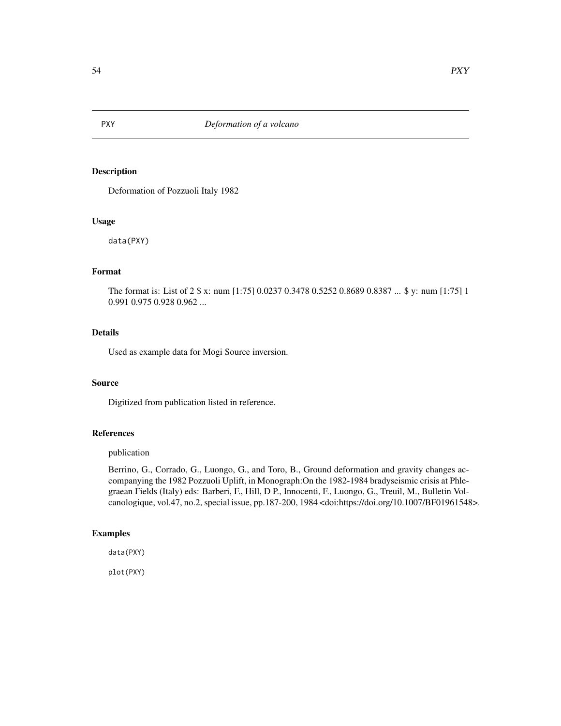Deformation of Pozzuoli Italy 1982

#### Usage

data(PXY)

# Format

The format is: List of 2 \$ x: num [1:75] 0.0237 0.3478 0.5252 0.8689 0.8387 ... \$ y: num [1:75] 1 0.991 0.975 0.928 0.962 ...

# Details

Used as example data for Mogi Source inversion.

## Source

Digitized from publication listed in reference.

## References

#### publication

Berrino, G., Corrado, G., Luongo, G., and Toro, B., Ground deformation and gravity changes accompanying the 1982 Pozzuoli Uplift, in Monograph:On the 1982-1984 bradyseismic crisis at Phlegraean Fields (Italy) eds: Barberi, F., Hill, D P., Innocenti, F., Luongo, G., Treuil, M., Bulletin Volcanologique, vol.47, no.2, special issue, pp.187-200, 1984 <doi:https://doi.org/10.1007/BF01961548>.

#### Examples

data(PXY)

plot(PXY)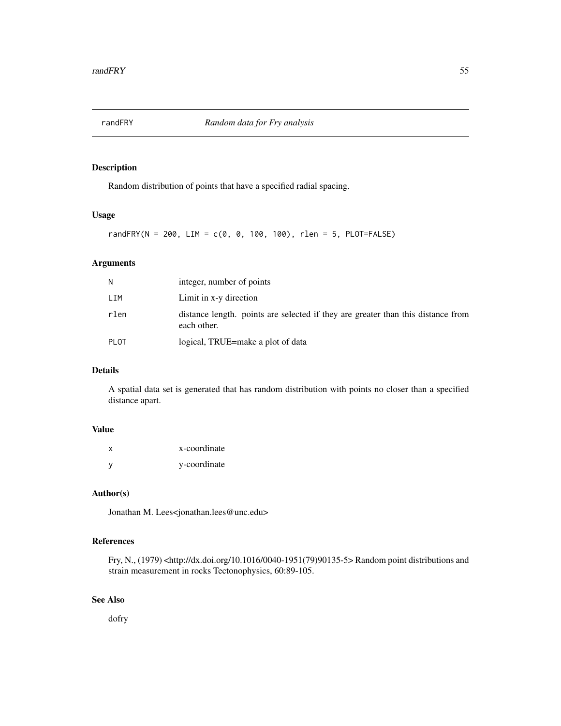Random distribution of points that have a specified radial spacing.

#### Usage

randFRY(N = 200, LIM =  $c(0, 0, 100, 100)$ , rlen = 5, PLOT=FALSE)

## Arguments

| N           | integer, number of points                                                                       |
|-------------|-------------------------------------------------------------------------------------------------|
| LIM         | Limit in x-y direction                                                                          |
| rlen        | distance length, points are selected if they are greater than this distance from<br>each other. |
| <b>PLOT</b> | logical, TRUE=make a plot of data                                                               |

## Details

A spatial data set is generated that has random distribution with points no closer than a specified distance apart.

# Value

| x        | x-coordinate |
|----------|--------------|
| <b>V</b> | y-coordinate |

## Author(s)

Jonathan M. Lees<jonathan.lees@unc.edu>

## References

Fry, N., (1979) <http://dx.doi.org/10.1016/0040-1951(79)90135-5> Random point distributions and strain measurement in rocks Tectonophysics, 60:89-105.

#### See Also

dofry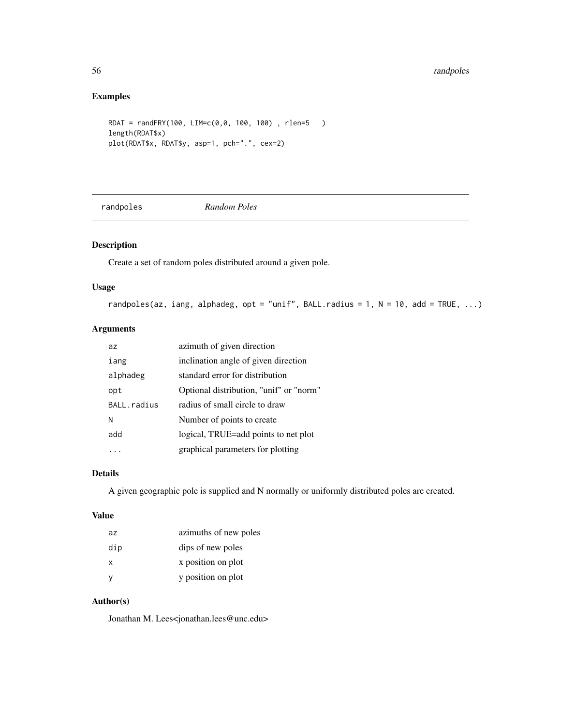## Examples

```
RDAT = randFRY(100, LIM=c(0,0, 100, 100) , rlen=5 )
length(RDAT$x)
plot(RDAT$x, RDAT$y, asp=1, pch=".", cex=2)
```
randpoles *Random Poles*

# Description

Create a set of random poles distributed around a given pole.

## Usage

```
randpoles(az, iang, alphadeg, opt = "unif", BALL.radius = 1, N = 10, add = TRUE, ...)
```
#### Arguments

| az.         | azimuth of given direction              |
|-------------|-----------------------------------------|
| iang        | inclination angle of given direction    |
| alphadeg    | standard error for distribution         |
| opt         | Optional distribution, "unif" or "norm" |
| BALL.radius | radius of small circle to draw          |
| N           | Number of points to create              |
| add         | logical, TRUE=add points to net plot    |
|             | graphical parameters for plotting       |

## Details

A given geographic pole is supplied and N normally or uniformly distributed poles are created.

#### Value

| az  | azimuths of new poles |
|-----|-----------------------|
| dip | dips of new poles     |
| x   | x position on plot    |
| у   | y position on plot    |

## Author(s)

Jonathan M. Lees<jonathan.lees@unc.edu>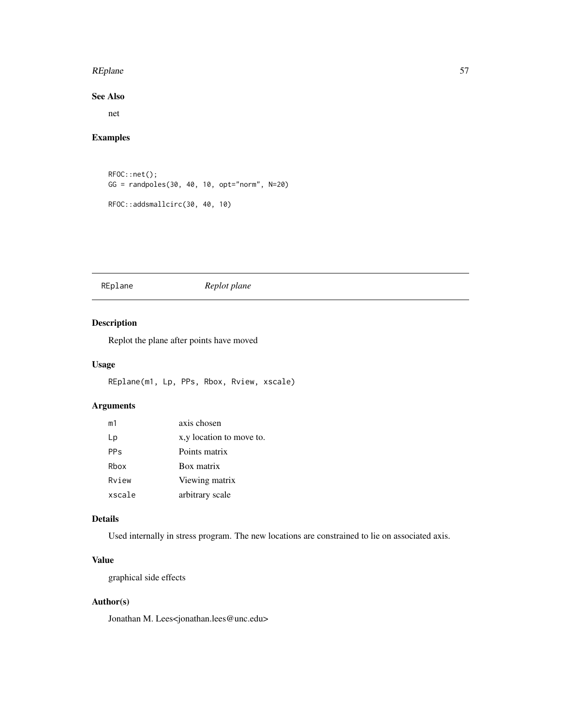#### REplane 57

## See Also

net

## Examples

```
RFOC::net();
GG = randpoles(30, 40, 10, opt="norm", N=20)
RFOC::addsmallcirc(30, 40, 10)
```
#### REplane *Replot plane*

# Description

Replot the plane after points have moved

#### Usage

REplane(m1, Lp, PPs, Rbox, Rview, xscale)

## Arguments

| m <sub>1</sub> | axis chosen               |
|----------------|---------------------------|
| Lp             | x, y location to move to. |
| <b>PPs</b>     | Points matrix             |
| Rbox           | Box matrix                |
| Rview          | Viewing matrix            |
| xscale         | arbitrary scale           |

#### Details

Used internally in stress program. The new locations are constrained to lie on associated axis.

# Value

graphical side effects

# Author(s)

Jonathan M. Lees<jonathan.lees@unc.edu>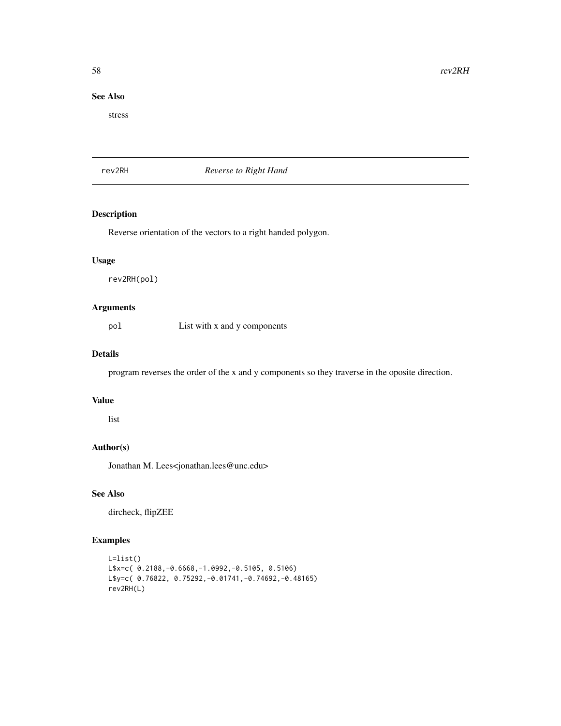58 rev2RH

## See Also

stress

rev2RH *Reverse to Right Hand*

## Description

Reverse orientation of the vectors to a right handed polygon.

#### Usage

rev2RH(pol)

## Arguments

pol List with x and y components

# Details

program reverses the order of the x and y components so they traverse in the oposite direction.

#### Value

list

## Author(s)

Jonathan M. Lees<jonathan.lees@unc.edu>

## See Also

dircheck, flipZEE

```
L=list()
L$x=c( 0.2188,-0.6668,-1.0992,-0.5105, 0.5106)
L$y=c( 0.76822, 0.75292,-0.01741,-0.74692,-0.48165)
rev2RH(L)
```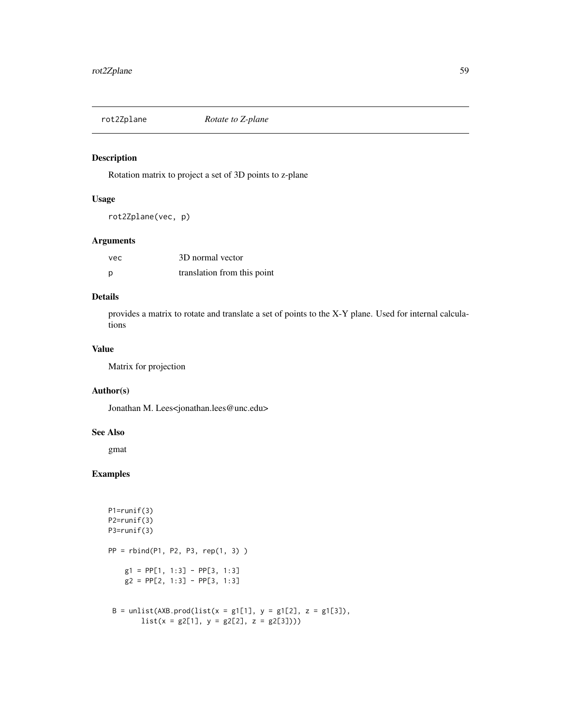Rotation matrix to project a set of 3D points to z-plane

#### Usage

rot2Zplane(vec, p)

## Arguments

| vec. | 3D normal vector            |
|------|-----------------------------|
| р    | translation from this point |

#### Details

provides a matrix to rotate and translate a set of points to the X-Y plane. Used for internal calculations

#### Value

Matrix for projection

## Author(s)

Jonathan M. Lees<jonathan.lees@unc.edu>

#### See Also

gmat

```
P1=runif(3)
P2=runif(3)
P3=runif(3)
PP = rbind(P1, P2, P3, rep(1, 3))g1 = PP[1, 1:3] - PP[3, 1:3]g2 = PP[2, 1:3] - PP[3, 1:3]
 B = \text{unlist}(\text{AXB}.\text{prod}(\text{list}(x = g1[1], y = g1[2], z = g1[3]),
```

```
list(x = g2[1], y = g2[2], z = g2[3]))
```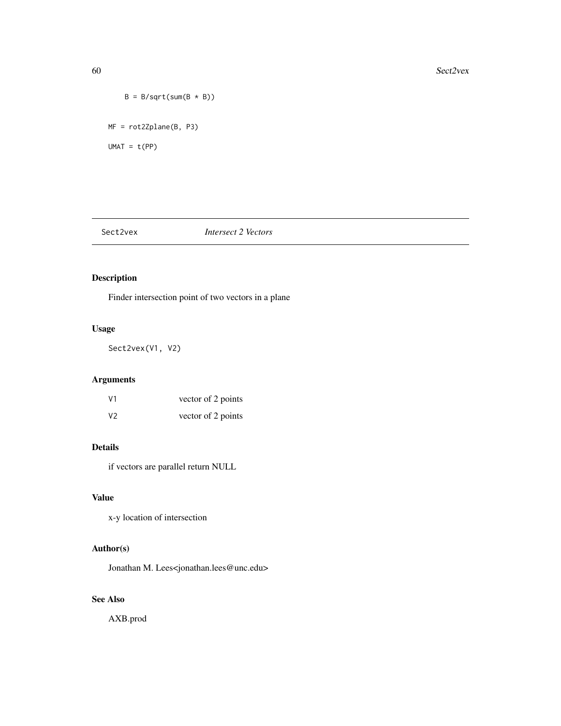```
B = B/sqrt(sum(B * B))MF = rot2Zplane(B, P3)
UMAT = t(PP)
```
## Sect2vex *Intersect 2 Vectors*

# Description

Finder intersection point of two vectors in a plane

## Usage

Sect2vex(V1, V2)

# Arguments

| V <sub>1</sub> | vector of 2 points |
|----------------|--------------------|
| V <sub>2</sub> | vector of 2 points |

## Details

if vectors are parallel return NULL

# Value

x-y location of intersection

# Author(s)

Jonathan M. Lees<jonathan.lees@unc.edu>

# See Also

AXB.prod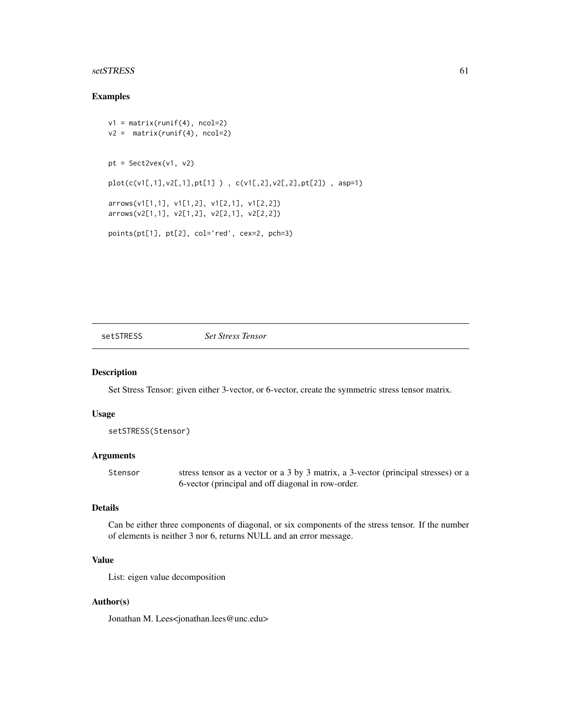#### setSTRESS 61

#### Examples

```
v1 = matrix(runit(4), ncol=2)v2 = matrix(runif(4), ncol=2)pt = Sect2vex(v1, v2)
plot(c(v1[,1],v2[,1],pt[1] ) , c(v1[,2],v2[,2],pt[2]) , asp=1)
arrows(v1[1,1], v1[1,2], v1[2,1], v1[2,2])
arrows(v2[1,1], v2[1,2], v2[2,1], v2[2,2])
points(pt[1], pt[2], col='red', cex=2, pch=3)
```
setSTRESS *Set Stress Tensor*

#### Description

Set Stress Tensor: given either 3-vector, or 6-vector, create the symmetric stress tensor matrix.

#### Usage

```
setSTRESS(Stensor)
```
#### Arguments

Stensor stress tensor as a vector or a 3 by 3 matrix, a 3-vector (principal stresses) or a 6-vector (principal and off diagonal in row-order.

#### Details

Can be either three components of diagonal, or six components of the stress tensor. If the number of elements is neither 3 nor 6, returns NULL and an error message.

#### Value

List: eigen value decomposition

#### Author(s)

Jonathan M. Lees<jonathan.lees@unc.edu>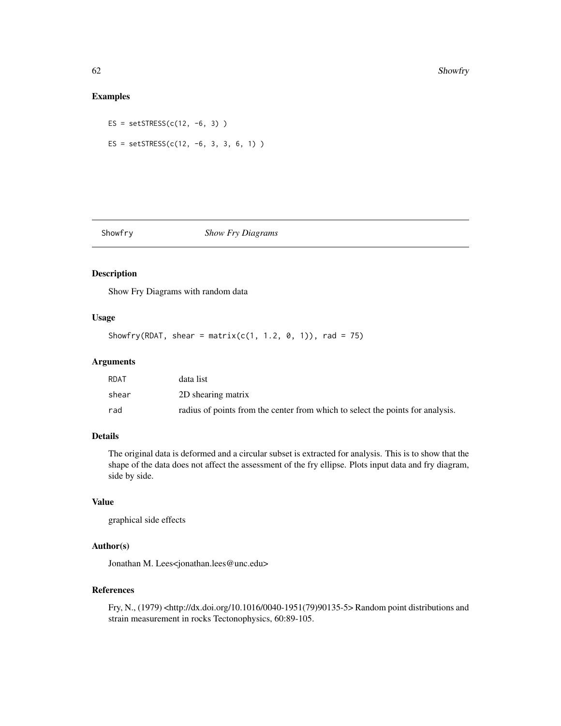## Examples

ES = setSTRESS( $c(12, -6, 3)$ ) ES = setSTRESS( $c(12, -6, 3, 3, 6, 1)$ )

## Showfry *Show Fry Diagrams*

## Description

Show Fry Diagrams with random data

## Usage

Showfry(RDAT, shear = matrix( $c(1, 1.2, 0, 1)$ ), rad = 75)

#### Arguments

| RDAT  | data list                                                                      |
|-------|--------------------------------------------------------------------------------|
| shear | 2D shearing matrix                                                             |
| rad   | radius of points from the center from which to select the points for analysis. |

## Details

The original data is deformed and a circular subset is extracted for analysis. This is to show that the shape of the data does not affect the assessment of the fry ellipse. Plots input data and fry diagram, side by side.

## Value

graphical side effects

# Author(s)

Jonathan M. Lees<jonathan.lees@unc.edu>

#### References

Fry, N., (1979) <http://dx.doi.org/10.1016/0040-1951(79)90135-5> Random point distributions and strain measurement in rocks Tectonophysics, 60:89-105.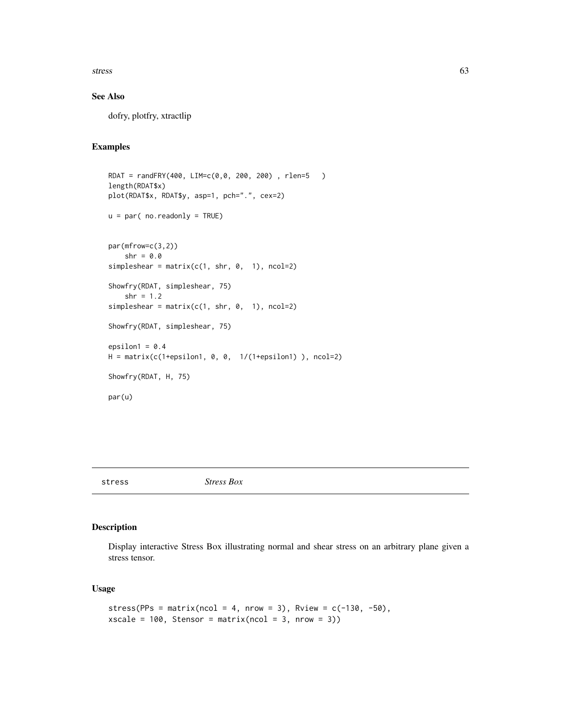stress 63

## See Also

dofry, plotfry, xtractlip

## Examples

```
RDAT = randFRY(400, LIM=c(0,0, 200, 200) , rlen=5 )
length(RDAT$x)
plot(RDAT$x, RDAT$y, asp=1, pch=".", cex=2)
u = par( no.readonly = TRUE)
par(mfrow=c(3,2))
    shr = 0.0simpleshear = matrix(c(1, shr, 0, 1), ncol=2)Showfry(RDAT, simpleshear, 75)
   shr = 1.2simpleshear = matrix(c(1, shr, 0, 1), ncol=2)Showfry(RDAT, simpleshear, 75)
epsilon1 = 0.4H = matrix(c(1+epsilon)1, 0, 0, 1/(1+epsilon)1)), ncol=2)
Showfry(RDAT, H, 75)
par(u)
```
#### stress *Stress Box*

#### Description

Display interactive Stress Box illustrating normal and shear stress on an arbitrary plane given a stress tensor.

#### Usage

```
stress(PPs = matrix(ncol = 4, nrow = 3), Rview = c(-130, -50),
xscale = 100, Stensor = matrix(ncol = 3, nrow = 3))
```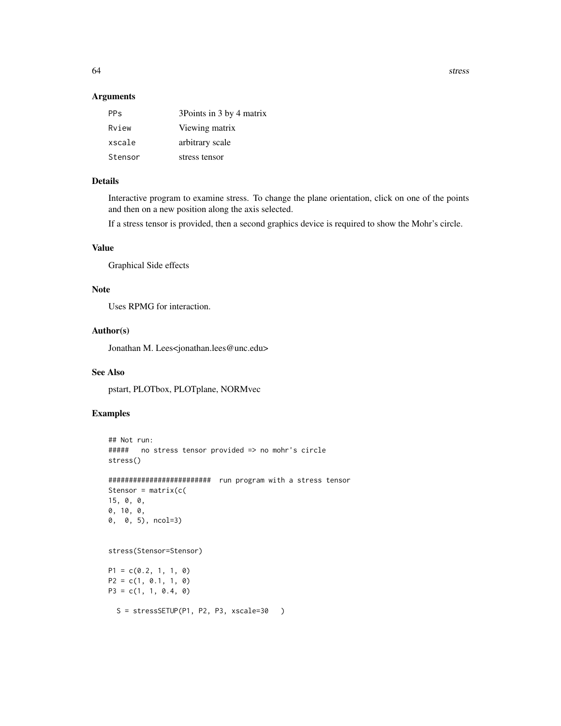64 stress and the stress stress in the stress stress stress stress stress in the stress stress stress in the stress stress stress in the stress stress in the stress stress in the stress stress in the stress stress in the s

#### Arguments

| <b>PPs</b> | 3Points in 3 by 4 matrix |
|------------|--------------------------|
| Rview      | Viewing matrix           |
| xscale     | arbitrary scale          |
| Stensor    | stress tensor            |

# Details

Interactive program to examine stress. To change the plane orientation, click on one of the points and then on a new position along the axis selected.

If a stress tensor is provided, then a second graphics device is required to show the Mohr's circle.

## Value

Graphical Side effects

## Note

Uses RPMG for interaction.

#### Author(s)

Jonathan M. Lees<jonathan.lees@unc.edu>

#### See Also

pstart, PLOTbox, PLOTplane, NORMvec

```
## Not run:
##### no stress tensor provided => no mohr's circle
stress()
######################### run program with a stress tensor
Stensor = matrix(c(
15, 0, 0,
0, 10, 0,
0, 0, 5), ncol=3)
stress(Stensor=Stensor)
P1 = c(0.2, 1, 1, 0)P2 = c(1, 0.1, 1, 0)
P3 = c(1, 1, 0.4, 0)S = stressSETUP(P1, P2, P3, xscale=30)
```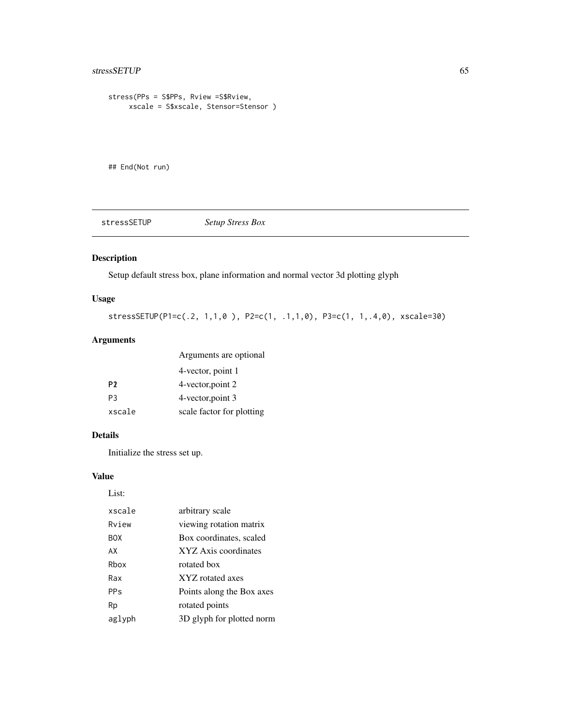# stressSETUP 65

```
stress(PPs = S$PPs, Rview =S$Rview,
    xscale = S$xscale, Stensor=Stensor )
```
## End(Not run)

stressSETUP *Setup Stress Box*

# Description

Setup default stress box, plane information and normal vector 3d plotting glyph

# Usage

stressSETUP(P1=c(.2, 1,1,0 ), P2=c(1, .1,1,0), P3=c(1, 1,.4,0), xscale=30)

## Arguments

|                | Arguments are optional    |
|----------------|---------------------------|
|                | 4-vector, point 1         |
| P <sub>2</sub> | 4-vector, point 2         |
| P <sub>3</sub> | 4-vector, point 3         |
| xscale         | scale factor for plotting |

#### Details

Initialize the stress set up.

#### Value

List:

| xscale                | arbitrary scale           |
|-----------------------|---------------------------|
| Rview                 | viewing rotation matrix   |
| <b>BOX</b>            | Box coordinates, scaled   |
| AX                    | XYZ Axis coordinates      |
| Rhox                  | rotated box               |
| Rax                   | XYZ rotated axes          |
| <b>PP<sub>S</sub></b> | Points along the Box axes |
| Rp                    | rotated points            |
| aglyph                | 3D glyph for plotted norm |
|                       |                           |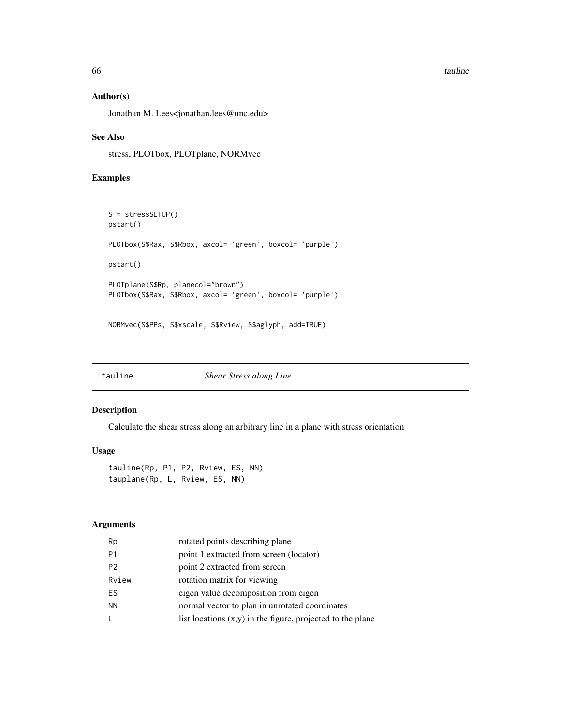#### 66 tauline tauline tauline tauline tauline tauline tauline tauline tauline tauline tauline tauline tauline tau

#### Author(s)

Jonathan M. Lees<jonathan.lees@unc.edu>

#### See Also

stress, PLOTbox, PLOTplane, NORMvec

# Examples

```
S = stressSETUP()
pstart()
PLOTbox(S$Rax, S$Rbox, axcol= 'green', boxcol= 'purple')
pstart()
PLOTplane(S$Rp, planecol="brown")
PLOTbox(S$Rax, S$Rbox, axcol= 'green', boxcol= 'purple')
```
NORMvec(S\$PPs, S\$xscale, S\$Rview, S\$aglyph, add=TRUE)

tauline *Shear Stress along Line*

#### Description

Calculate the shear stress along an arbitrary line in a plane with stress orientation

#### Usage

tauline(Rp, P1, P2, Rview, ES, NN) tauplane(Rp, L, Rview, ES, NN)

## Arguments

| Rp             | rotated points describing plane                              |
|----------------|--------------------------------------------------------------|
| P <sub>1</sub> | point 1 extracted from screen (locator)                      |
| P <sub>2</sub> | point 2 extracted from screen                                |
| Rview          | rotation matrix for viewing                                  |
| ES.            | eigen value decomposition from eigen                         |
| <b>NN</b>      | normal vector to plan in unrotated coordinates               |
| L              | list locations $(x,y)$ in the figure, projected to the plane |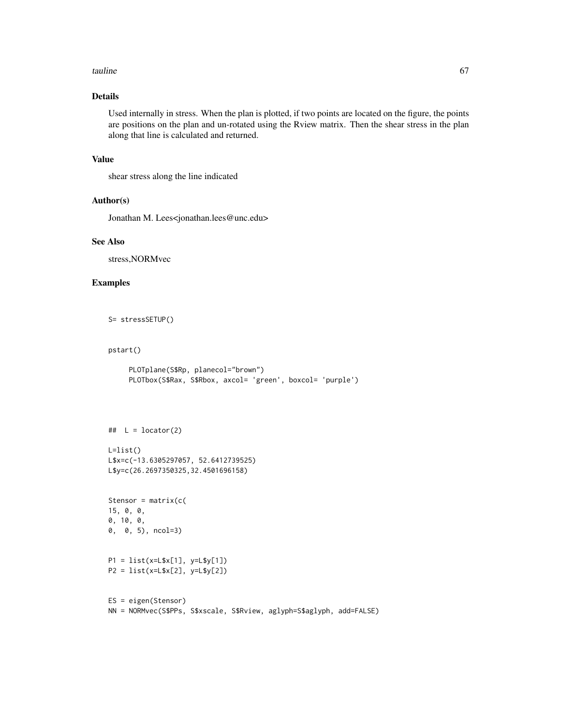#### tauline 67

# Details

Used internally in stress. When the plan is plotted, if two points are located on the figure, the points are positions on the plan and un-rotated using the Rview matrix. Then the shear stress in the plan along that line is calculated and returned.

#### Value

shear stress along the line indicated

#### Author(s)

Jonathan M. Lees<jonathan.lees@unc.edu>

#### See Also

stress,NORMvec

# Examples

```
S= stressSETUP()
```
#### pstart()

```
PLOTplane(S$Rp, planecol="brown")
PLOTbox(S$Rax, S$Rbox, axcol= 'green', boxcol= 'purple')
```

```
\# L = locator(2)
L=list()
L$x=c(-13.6305297057, 52.6412739525)
L$y=c(26.2697350325,32.4501696158)
```

```
Stensor = matrix(c()15, 0, 0,
0, 10, 0,
0, 0, 5), ncol=3)
```

```
P1 = list(x=L$x[1], y=L$y[1])
P2 = list(x=L$x[2], y=L$y[2])
```

```
ES = eigen(Stensor)
NN = NORMvec(S$PPs, S$xscale, S$Rview, aglyph=S$aglyph, add=FALSE)
```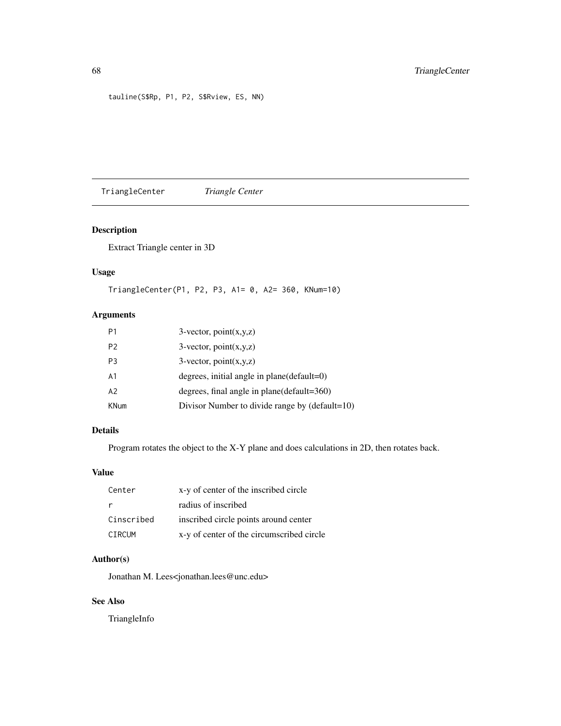tauline(S\$Rp, P1, P2, S\$Rview, ES, NN)

TriangleCenter *Triangle Center*

## Description

Extract Triangle center in 3D

#### Usage

TriangleCenter(P1, P2, P3, A1= 0, A2= 360, KNum=10)

# Arguments

| P <sub>1</sub> | $3$ -vector, point $(x,y,z)$                   |
|----------------|------------------------------------------------|
| P <sub>2</sub> | $3$ -vector, point $(x,y,z)$                   |
| P <sub>3</sub> | $3$ -vector, point $(x,y,z)$                   |
| A1             | degrees, initial angle in $plane(detault=0)$   |
| A <sub>2</sub> | degrees, final angle in plane(default=360)     |
| <b>KNum</b>    | Divisor Number to divide range by (default=10) |

#### Details

Program rotates the object to the X-Y plane and does calculations in 2D, then rotates back.

## Value

| Center     | x-y of center of the inscribed circle     |
|------------|-------------------------------------------|
| - r        | radius of inscribed                       |
| Cinscribed | inscribed circle points around center     |
| CIRCUM     | x-y of center of the circumscribed circle |

# Author(s)

Jonathan M. Lees<jonathan.lees@unc.edu>

# See Also

TriangleInfo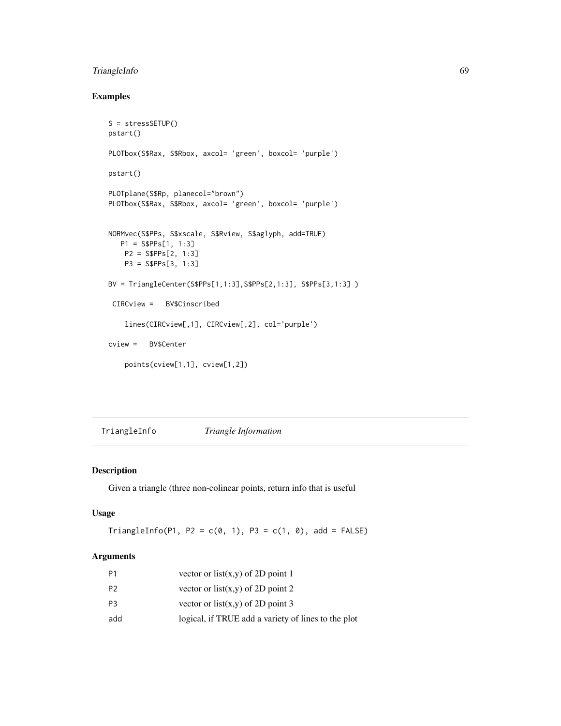## TriangleInfo 69

# Examples

```
S = stressSETUP()
pstart()
PLOTbox(S$Rax, S$Rbox, axcol= 'green', boxcol= 'purple')
pstart()
PLOTplane(S$Rp, planecol="brown")
PLOTbox(S$Rax, S$Rbox, axcol= 'green', boxcol= 'purple')
NORMvec(S$PPs, S$xscale, S$Rview, S$aglyph, add=TRUE)
  P1 = S$PPs[1, 1:3]
   P2 = S$PPs[2, 1:3]
   P3 = S$PPs[3, 1:3]
BV = TriangleCenter(S$PPs[1,1:3],S$PPs[2,1:3], S$PPs[3,1:3] )
 CIRCview = BV$Cinscribed
    lines(CIRCview[,1], CIRCview[,2], col='purple')
cview = BV$Center
   points(cview[1,1], cview[1,2])
```
TriangleInfo *Triangle Information*

#### Description

Given a triangle (three non-colinear points, return info that is useful

## Usage

 $TriangleInfo(P1, P2 = c(0, 1), P3 = c(1, 0), add = FALSE)$ 

#### Arguments

| Ρ1  | vector or list $(x,y)$ of 2D point 1                |
|-----|-----------------------------------------------------|
| P2  | vector or list(x,y) of 2D point 2                   |
| P3  | vector or list(x,y) of 2D point 3                   |
| add | logical, if TRUE add a variety of lines to the plot |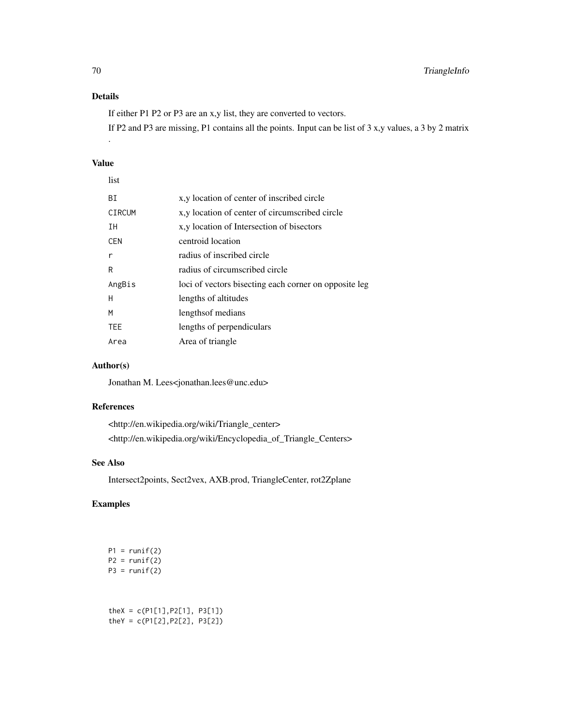# Details

If either P1 P2 or P3 are an x,y list, they are converted to vectors.

If P2 and P3 are missing, P1 contains all the points. Input can be list of 3 x,y values, a 3 by 2 matrix

## Value

.

| ΒI     | x, y location of center of inscribed circle           |
|--------|-------------------------------------------------------|
| CIRCUM | x, y location of center of circumscribed circle       |
| IΗ     | x, y location of Intersection of bisectors            |
| CEN    | centroid location                                     |
| r      | radius of inscribed circle                            |
| R      | radius of circumscribed circle                        |
| AngBis | loci of vectors bisecting each corner on opposite leg |
| H      | lengths of altitudes                                  |
| М      | lengths of medians                                    |
| TEE    | lengths of perpendiculars                             |
| Area   | Area of triangle                                      |
|        |                                                       |

# Author(s)

Jonathan M. Lees<jonathan.lees@unc.edu>

## References

<http://en.wikipedia.org/wiki/Triangle\_center> <http://en.wikipedia.org/wiki/Encyclopedia\_of\_Triangle\_Centers>

## See Also

Intersect2points, Sect2vex, AXB.prod, TriangleCenter, rot2Zplane

|  | $P1 = runif(2)$<br>$P2 = runif(2)$<br>$P3 = runif(2)$               |  |  |  |
|--|---------------------------------------------------------------------|--|--|--|
|  | the $X = c(P1[1], P2[1], P3[1])$<br>theY = $c(P1[2], P2[2], P3[2])$ |  |  |  |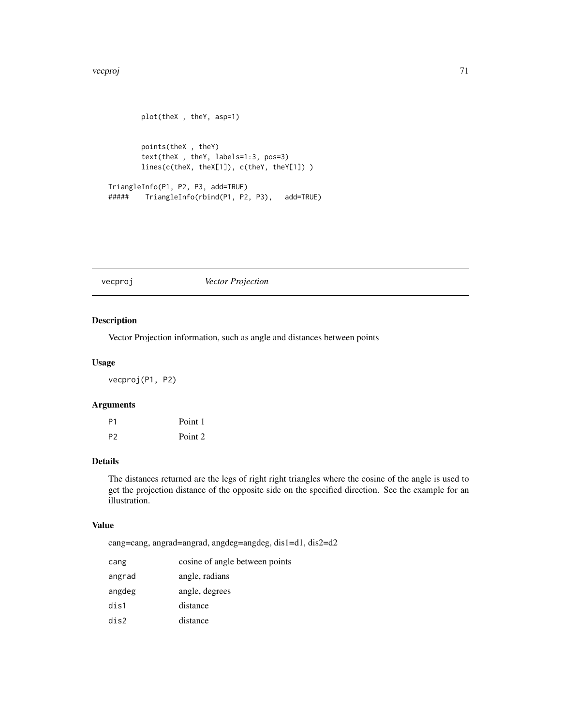```
plot(theX , theY, asp=1)
       points(theX , theY)
       text(theX , theY, labels=1:3, pos=3)
       lines(c(theX, theX[1]), c(theY, theY[1]) )
TriangleInfo(P1, P2, P3, add=TRUE)
##### TriangleInfo(rbind(P1, P2, P3), add=TRUE)
```
vecproj *Vector Projection*

#### Description

Vector Projection information, such as angle and distances between points

#### Usage

vecproj(P1, P2)

#### Arguments

| P <sub>1</sub> | Point 1 |
|----------------|---------|
| P <sub>2</sub> | Point 2 |

## Details

The distances returned are the legs of right right triangles where the cosine of the angle is used to get the projection distance of the opposite side on the specified direction. See the example for an illustration.

#### Value

cang=cang, angrad=angrad, angdeg=angdeg, dis1=d1, dis2=d2

| cang   | cosine of angle between points |
|--------|--------------------------------|
| angrad | angle, radians                 |
| angdeg | angle, degrees                 |
| dis1   | distance                       |
| dis2   | distance                       |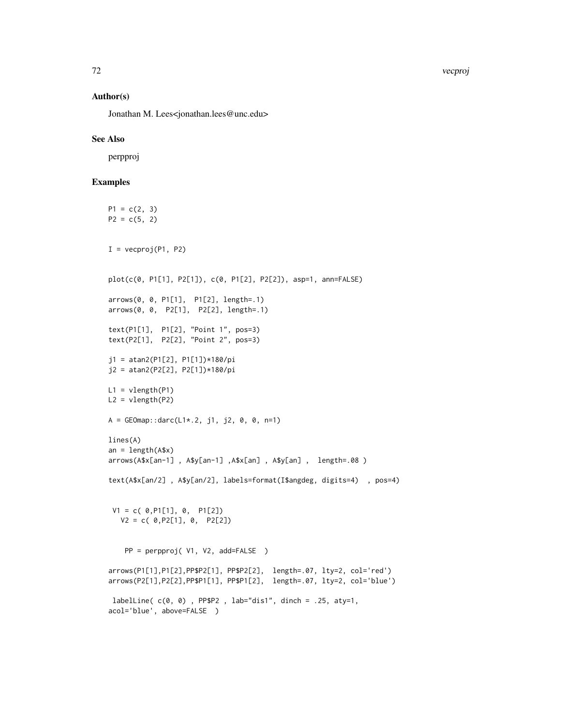72 vecproj

#### Author(s)

Jonathan M. Lees<jonathan.lees@unc.edu>

#### See Also

perpproj

```
P1 = c(2, 3)P2 = c(5, 2)I = vecproj(P1, P2)plot(c(0, P1[1], P2[1]), c(0, P1[2], P2[2]), asp=1, ann=FALSE)
arrows(0, 0, P1[1], P1[2], length=.1)
arrows(0, 0, P2[1], P2[2], length=.1)
text(P1[1], P1[2], "Point 1", pos=3)
text(P2[1], P2[2], "Point 2", pos=3)
j1 = atan2(P1[2], P1[1])*180/pi
j2 = atan2(P2[2], P2[1])*180/pi
L1 = vlength(P1)L2 = vlength(P2)
A = GEOmap::darc(L1*.2, j1, j2, 0, 0, n=1)
lines(A)
an = length(A$x)arrows(A$x[an-1] , A$y[an-1] ,A$x[an] , A$y[an] , length=.08 )
text(A$x[an/2] , A$y[an/2], labels=format(I$angdeg, digits=4) , pos=4)
 V1 = c( 0, P1[1], 0, P1[2])V2 = c( 0, P2[1], 0, P2[2])PP = perpproj( V1, V2, add=FALSE )
arrows(P1[1],P1[2],PP$P2[1], PP$P2[2], length=.07, lty=2, col='red')
arrows(P2[1],P2[2],PP$P1[1], PP$P1[2], length=.07, lty=2, col='blue')
labelLine( c(0, 0) , PP$P2 , lab="dis1", dinch = .25, aty=1,
acol='blue', above=FALSE )
```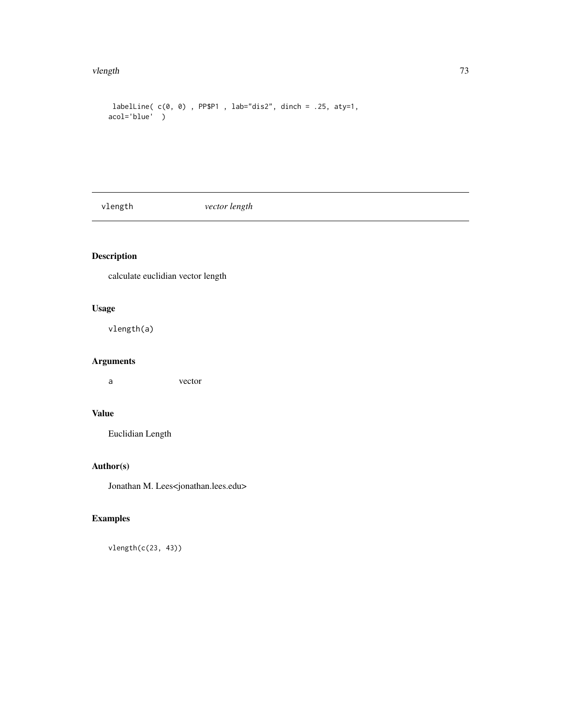#### <span id="page-72-0"></span>vlength 73

```
labelLine( c(0, 0) , PP$P1 , lab="dis2", dinch = .25, aty=1,
acol='blue' )
```
vlength *vector length*

# Description

calculate euclidian vector length

# Usage

vlength(a)

# Arguments

a vector

# Value

Euclidian Length

# Author(s)

Jonathan M. Lees<jonathan.lees.edu>

# Examples

vlength(c(23, 43))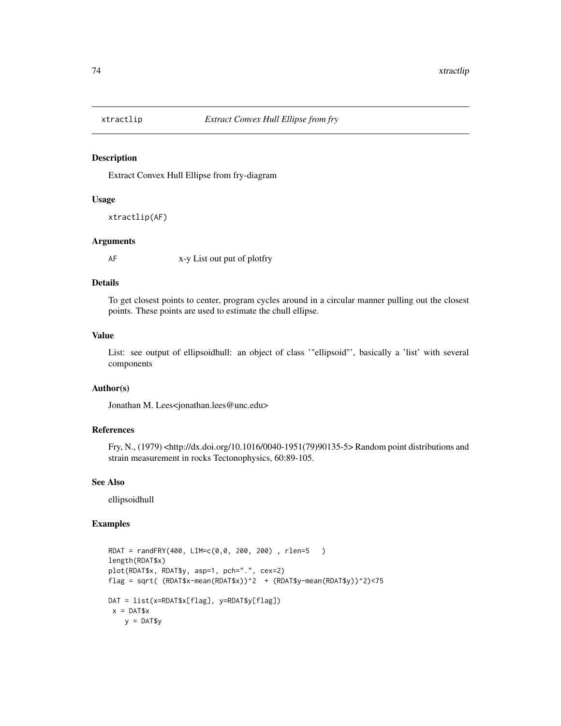<span id="page-73-0"></span>

#### Description

Extract Convex Hull Ellipse from fry-diagram

### Usage

```
xtractlip(AF)
```
## Arguments

AF x-y List out put of plotfry

## Details

To get closest points to center, program cycles around in a circular manner pulling out the closest points. These points are used to estimate the chull ellipse.

## Value

List: see output of ellipsoidhull: an object of class '"ellipsoid"', basically a 'list' with several components

# Author(s)

Jonathan M. Lees<jonathan.lees@unc.edu>

# References

Fry, N., (1979) <http://dx.doi.org/10.1016/0040-1951(79)90135-5> Random point distributions and strain measurement in rocks Tectonophysics, 60:89-105.

### See Also

ellipsoidhull

### Examples

```
RDAT = randFRY(400, LIM=c(0,0, 200, 200) , rlen=5 )
length(RDAT$x)
plot(RDAT$x, RDAT$y, asp=1, pch=".", cex=2)
flag = sqrt( (RDAT$x-mean(RDAT$x))^2 + (RDAT$y-mean(RDAT$y))^2)<75
DAT = list(x=RDAT$x[flag], y=RDAT$y[flag])
x = DAT$xy = DAT$y
```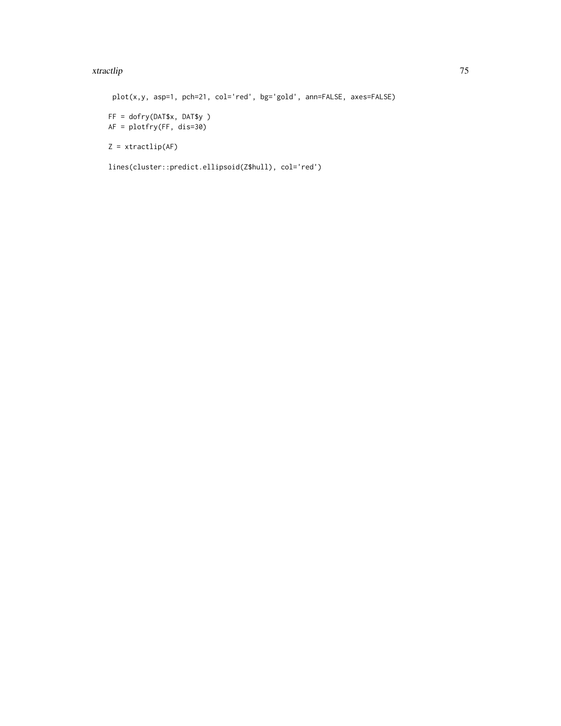#### xtractlip 75

plot(x,y, asp=1, pch=21, col='red', bg='gold', ann=FALSE, axes=FALSE) FF = dofry(DAT\$x, DAT\$y ) AF = plotfry(FF, dis=30)  $Z = xtractlip(AF)$ lines(cluster::predict.ellipsoid(Z\$hull), col='red')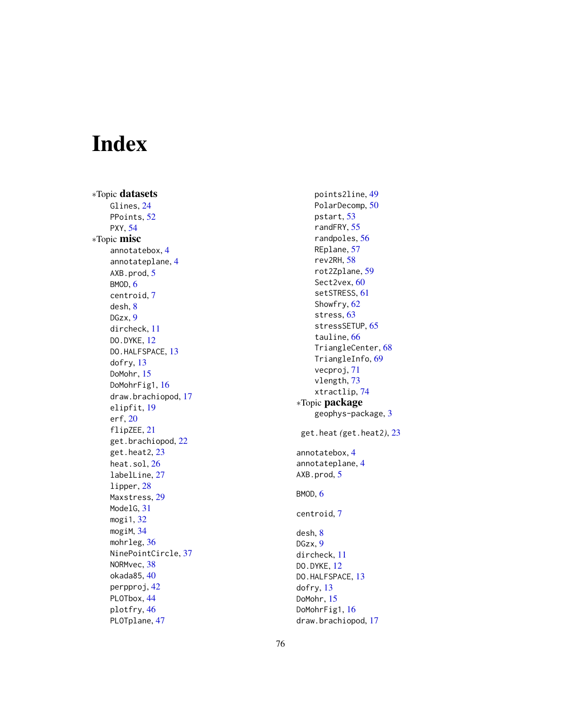# Index

∗Topic datasets Glines, [24](#page-23-0) PPoints, [52](#page-51-0) PXY , [54](#page-53-0) ∗Topic misc annotatebox , [4](#page-3-0) annotateplane , [4](#page-3-0) AXB.prod, [5](#page-4-0) BMOD, [6](#page-5-0) centroid , [7](#page-6-0) desh , [8](#page-7-0) DGzx , [9](#page-8-0) dircheck , [11](#page-10-0) DO.DYKE, [12](#page-11-0) DO.HALFSPACE, [13](#page-12-0) dofry , [13](#page-12-0) DoMohr , [15](#page-14-0) DoMohrFig1, [16](#page-15-0) draw.brachiopod , [17](#page-16-0) elipfit , [19](#page-18-0) erf , [20](#page-19-0) flipZEE, [21](#page-20-0) get.brachiopod , [22](#page-21-0) get.heat2 , [23](#page-22-0) heat.sol , [26](#page-25-0) labelLine , [27](#page-26-0) lipper , [28](#page-27-0) Maxstress , [29](#page-28-0) ModelG, [31](#page-30-0) mogi1 , [32](#page-31-0) mogiM , [34](#page-33-0) mohrleg, [36](#page-35-0) NinePointCircle , [37](#page-36-0) NORMvec, [38](#page-37-0) okada85 , [40](#page-39-0) perpproj , [42](#page-41-0) PLOTbox, [44](#page-43-0) plotfry , [46](#page-45-0) PLOTplane , [47](#page-46-0)

points2line , [49](#page-48-0) PolarDecomp , [50](#page-49-0) pstart , [53](#page-52-0) randFRY , [55](#page-54-0) randpoles , [56](#page-55-0) REplane , [57](#page-56-0) rev2RH , [58](#page-57-0) rot2Zplane , [59](#page-58-0) Sect2vex, [60](#page-59-0) setSTRESS , [61](#page-60-0) Showfry, [62](#page-61-0) stress , [63](#page-62-0) stressSETUP, [65](#page-64-0) tauline, [66](#page-65-0) TriangleCenter , [68](#page-67-0) TriangleInfo, [69](#page-68-0) vecproj , [71](#page-70-0) vlength , [73](#page-72-0) xtractlip , [74](#page-73-0) ∗Topic package geophys-package , [3](#page-2-0) get.heat *(*get.heat2 *)* , [23](#page-22-0) annotatebox , [4](#page-3-0) annotateplane , [4](#page-3-0) AXB.prod, <mark>[5](#page-4-0)</mark> BMOD, [6](#page-5-0) centroid , [7](#page-6-0) desh , [8](#page-7-0) DGzx , [9](#page-8-0) dircheck , [11](#page-10-0) DO.DYKE, [12](#page-11-0) DO.HALFSPACE, [13](#page-12-0) dofry , [13](#page-12-0) DoMohr , [15](#page-14-0) DoMohrFig1 , [16](#page-15-0) draw.brachiopod , [17](#page-16-0)